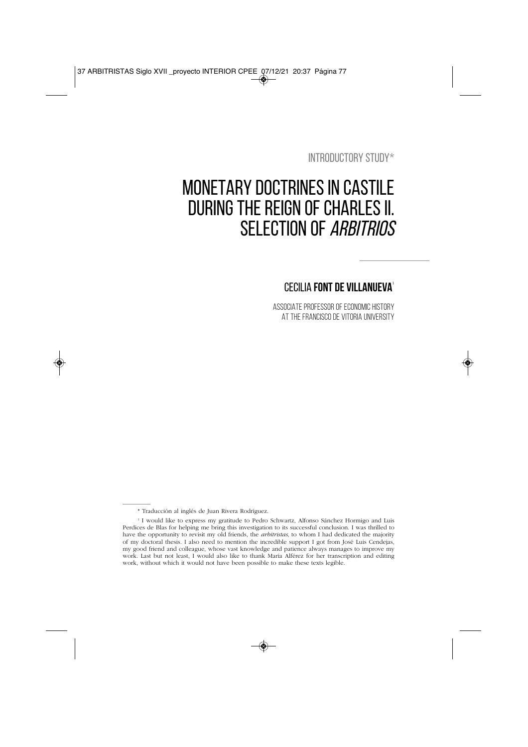INTRODUCTORY STUDY\*

# MONETARY DOCTRINES IN CASTILE DURING THE REIGN OF CHARLES II. SELECTION OF ARBITRIOS

# CECILIA **FONT DE VILLANUEVA**<sup>1</sup>

ASSOCIATE PROFESSOR OF ECONOMIC HISTORY AT THE FRANCISCO DE VITORIA UNIVERSITY

<sup>\*</sup> Traducción al inglés de Juan Rivera Rodríguez.

<sup>1</sup> I would like to express my gratitude to Pedro Schwartz, Alfonso Sánchez Hormigo and Luis Perdices de Blas for helping me bring this investigation to its successful conclusion. I was thrilled to have the opportunity to revisit my old friends, the *arbitristas*, to whom I had dedicated the majority of my doctoral thesis. I also need to mention the incredible support I got from José Luis Cendejas, my good friend and colleague, whose vast knowledge and patience always manages to improve my work. Last but not least, I would also like to thank María Alférez for her transcription and editing work, without which it would not have been possible to make these texts legible.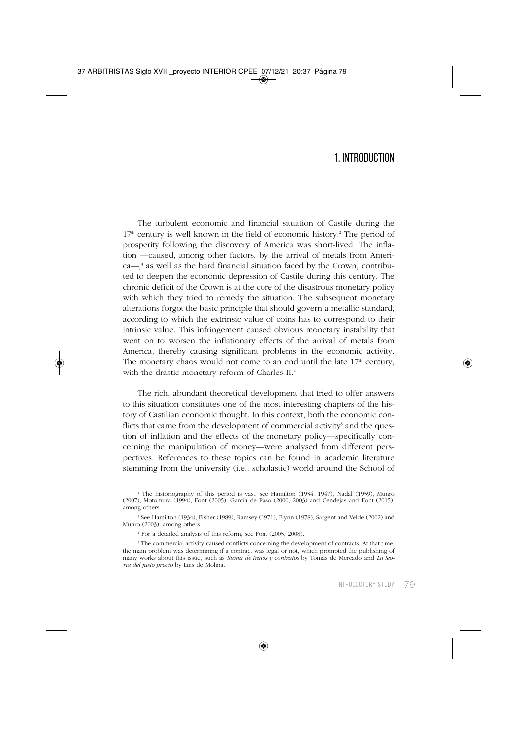### 1. INTRODUCTION

The turbulent economic and financial situation of Castile during the  $17<sup>th</sup>$  century is well known in the field of economic history.<sup>2</sup> The period of prosperity following the discovery of America was short-lived. The inflation —caused, among other factors, by the arrival of metals from Ameri $ca$ — $3$  as well as the hard financial situation faced by the Crown, contributed to deepen the economic depression of Castile during this century. The chronic deficit of the Crown is at the core of the disastrous monetary policy with which they tried to remedy the situation. The subsequent monetary alterations forgot the basic principle that should govern a metallic standard, according to which the extrinsic value of coins has to correspond to their intrinsic value. This infringement caused obvious monetary instability that went on to worsen the inflationary effects of the arrival of metals from America, thereby causing significant problems in the economic activity. The monetary chaos would not come to an end until the late  $17<sup>th</sup>$  century, with the drastic monetary reform of Charles II.<sup>4</sup>

The rich, abundant theoretical development that tried to offer answers to this situation constitutes one of the most interesting chapters of the history of Castilian economic thought. In this context, both the economic conflicts that came from the development of commercial activity<sup>5</sup> and the question of inflation and the effects of the monetary policy—specifically concerning the manipulation of money—were analysed from different perspectives. References to these topics can be found in academic literature stemming from the university (i.e.: scholastic) world around the School of

<sup>2</sup> The historiography of this period is vast; see Hamilton (1934, 1947), Nadal (1959), Munro (2007), Motomura (1994), Font (2005), García de Paso (2000, 2003) and Cendejas and Font (2015), among others.

<sup>3</sup> See Hamilton (1934), Fisher (1989), Ramsey (1971), Flynn (1978), Sargent and Velde (2002) and Munro (2003), among others.

<sup>4</sup> For a detailed analysis of this reform, see Font (2005, 2008).

<sup>&</sup>lt;sup>5</sup> The commercial activity caused conflicts concerning the development of contracts. At that time, the main problem was determining if a contract was legal or not, which prompted the publishing of many works about this issue, such as *Suma de tratos y contratos* by Tomás de Mercado and *La teoría del justo precio* by Luis de Molina.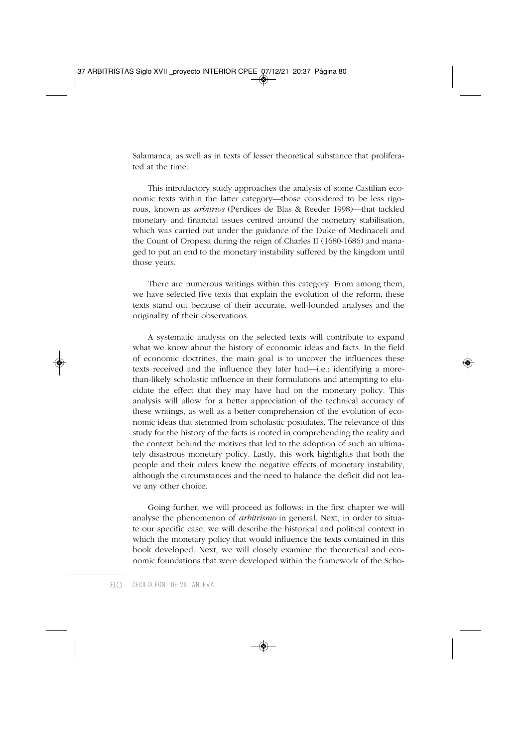Salamanca, as well as in texts of lesser theoretical substance that proliferated at the time.

This introductory study approaches the analysis of some Castilian economic texts within the latter category—those considered to be less rigorous, known as *arbitrios* (Perdices de Blas & Reeder 1998)—that tackled monetary and financial issues centred around the monetary stabilisation, which was carried out under the guidance of the Duke of Medinaceli and the Count of Oropesa during the reign of Charles II (1680-1686) and managed to put an end to the monetary instability suffered by the kingdom until those years.

There are numerous writings within this category. From among them, we have selected five texts that explain the evolution of the reform; these texts stand out because of their accurate, well-founded analyses and the originality of their observations.

A systematic analysis on the selected texts will contribute to expand what we know about the history of economic ideas and facts. In the field of economic doctrines, the main goal is to uncover the influences these texts received and the influence they later had—i.e.: identifying a morethan-likely scholastic influence in their formulations and attempting to elucidate the effect that they may have had on the monetary policy. This analysis will allow for a better appreciation of the technical accuracy of these writings, as well as a better comprehension of the evolution of economic ideas that stemmed from scholastic postulates. The relevance of this study for the history of the facts is rooted in comprehending the reality and the context behind the motives that led to the adoption of such an ultimately disastrous monetary policy. Lastly, this work highlights that both the people and their rulers knew the negative effects of monetary instability, although the circumstances and the need to balance the deficit did not leave any other choice.

Going further, we will proceed as follows: in the first chapter we will analyse the phenomenon of *arbitrismo* in general. Next, in order to situate our specific case, we will describe the historical and political context in which the monetary policy that would influence the texts contained in this book developed. Next, we will closely examine the theoretical and economic foundations that were developed within the framework of the Scho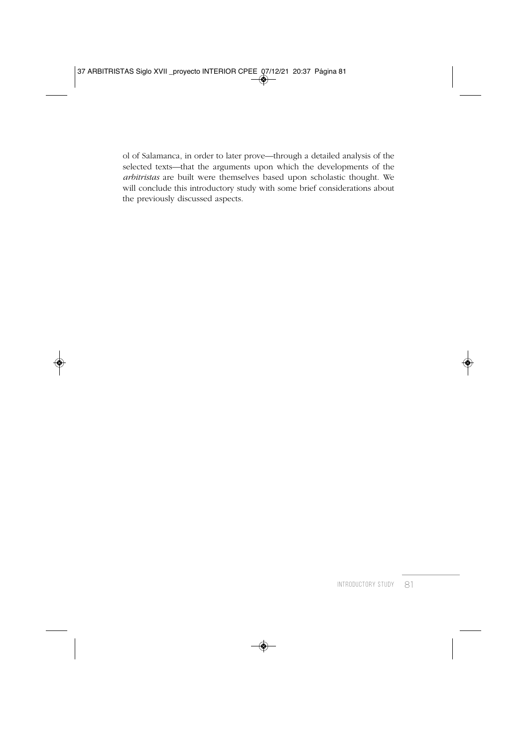ol of Salamanca, in order to later prove—through a detailed analysis of the selected texts—that the arguments upon which the developments of the *arbitristas* are built were themselves based upon scholastic thought. We will conclude this introductory study with some brief considerations about the previously discussed aspects.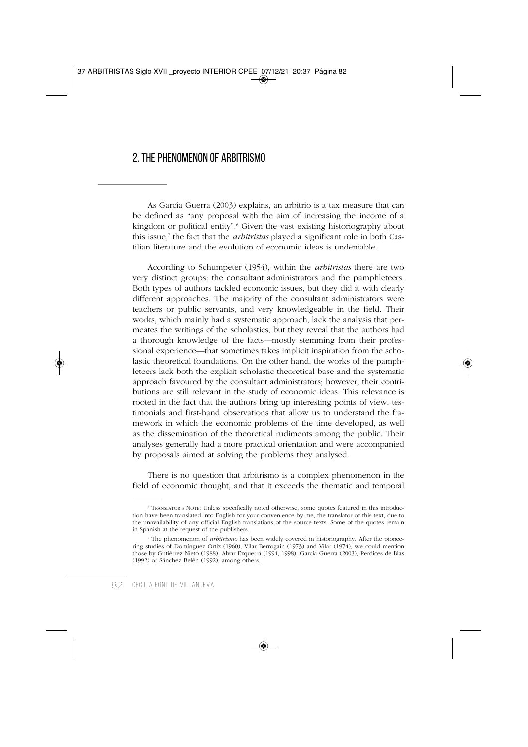# 2. THE PHENOMENON OF ARBITRISMO

As García Guerra (2003) explains, an arbitrio is a tax measure that can be defined as "any proposal with the aim of increasing the income of a kingdom or political entity".<sup>6</sup> Given the vast existing historiography about this issue,7 the fact that the *arbitristas* played a significant role in both Castilian literature and the evolution of economic ideas is undeniable.

According to Schumpeter (1954), within the *arbitristas* there are two very distinct groups: the consultant administrators and the pamphleteers. Both types of authors tackled economic issues, but they did it with clearly different approaches. The majority of the consultant administrators were teachers or public servants, and very knowledgeable in the field. Their works, which mainly had a systematic approach, lack the analysis that permeates the writings of the scholastics, but they reveal that the authors had a thorough knowledge of the facts—mostly stemming from their professional experience—that sometimes takes implicit inspiration from the scholastic theoretical foundations. On the other hand, the works of the pamphleteers lack both the explicit scholastic theoretical base and the systematic approach favoured by the consultant administrators; however, their contributions are still relevant in the study of economic ideas. This relevance is rooted in the fact that the authors bring up interesting points of view, testimonials and first-hand observations that allow us to understand the framework in which the economic problems of the time developed, as well as the dissemination of the theoretical rudiments among the public. Their analyses generally had a more practical orientation and were accompanied by proposals aimed at solving the problems they analysed.

There is no question that arbitrismo is a complex phenomenon in the field of economic thought, and that it exceeds the thematic and temporal

<sup>6</sup> TRANSLATOR'S NOTE: Unless specifically noted otherwise, some quotes featured in this introduction have been translated into English for your convenience by me, the translator of this text, due to the unavailability of any official English translations of the source texts. Some of the quotes remain in Spanish at the request of the publishers.

<sup>7</sup> The phenomenon of *arbitrismo* has been widely covered in historiography. After the pioneering studies of Domínguez Ortiz (1960), Vilar Berrogain (1973) and Vilar (1974), we could mention those by Gutiérrez Nieto (1988), Alvar Ezquerra (1994, 1998), García Guerra (2003), Perdices de Blas (1992) or Sánchez Belén (1992), among others.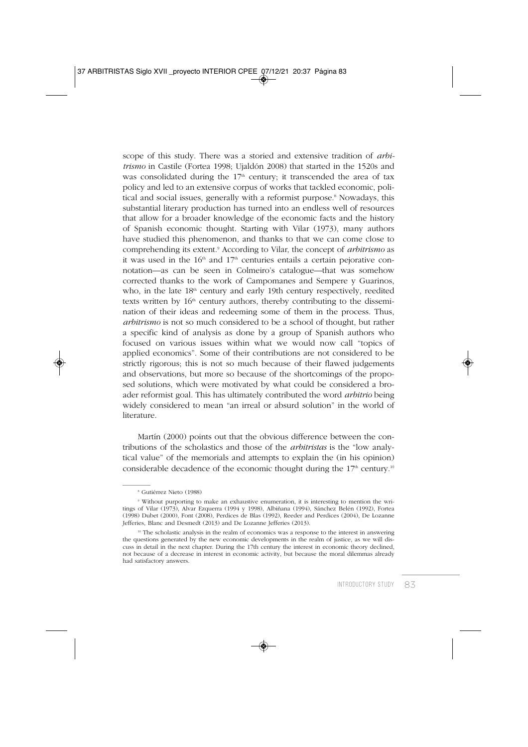scope of this study. There was a storied and extensive tradition of *arbitrismo* in Castile (Fortea 1998; Ujaldón 2008) that started in the 1520s and was consolidated during the  $17<sup>th</sup>$  century; it transcended the area of tax policy and led to an extensive corpus of works that tackled economic, political and social issues, generally with a reformist purpose.<sup>8</sup> Nowadays, this substantial literary production has turned into an endless well of resources that allow for a broader knowledge of the economic facts and the history of Spanish economic thought. Starting with Vilar (1973), many authors have studied this phenomenon, and thanks to that we can come close to comprehending its extent.9 According to Vilar, the concept of *arbitrismo* as it was used in the  $16<sup>th</sup>$  and  $17<sup>th</sup>$  centuries entails a certain pejorative connotation—as can be seen in Colmeiro's catalogue—that was somehow corrected thanks to the work of Campomanes and Sempere y Guarinos, who, in the late 18<sup>th</sup> century and early 19th century respectively, reedited texts written by  $16<sup>th</sup>$  century authors, thereby contributing to the dissemination of their ideas and redeeming some of them in the process. Thus, *arbitrismo* is not so much considered to be a school of thought, but rather a specific kind of analysis as done by a group of Spanish authors who focused on various issues within what we would now call "topics of applied economics". Some of their contributions are not considered to be strictly rigorous; this is not so much because of their flawed judgements and observations, but more so because of the shortcomings of the proposed solutions, which were motivated by what could be considered a broader reformist goal. This has ultimately contributed the word *arbitrio* being widely considered to mean "an irreal or absurd solution" in the world of literature.

Martín (2000) points out that the obvious difference between the contributions of the scholastics and those of the *arbitristas* is the "low analytical value" of the memorials and attempts to explain the (in his opinion) considerable decadence of the economic thought during the  $17<sup>th</sup>$  century.<sup>10</sup>

<sup>8</sup> Gutiérrez Nieto (1988)

<sup>9</sup> Without purporting to make an exhaustive enumeration, it is interesting to mention the writings of Vilar (1973), Alvar Ezquerra (1994 y 1998), Albiñana (1994), Sánchez Belén (1992), Fortea (1998) Dubet (2000), Font (2008), Perdices de Blas (1992), Reeder and Perdices (2004), De Lozanne Jefferies, Blanc and Desmedt (2013) and De Lozanne Jefferies (2013).

 $10$  The scholastic analysis in the realm of economics was a response to the interest in answering the questions generated by the new economic developments in the realm of justice, as we will discuss in detail in the next chapter. During the 17th century the interest in economic theory declined, not because of a decrease in interest in economic activity, but because the moral dilemmas already had satisfactory answers.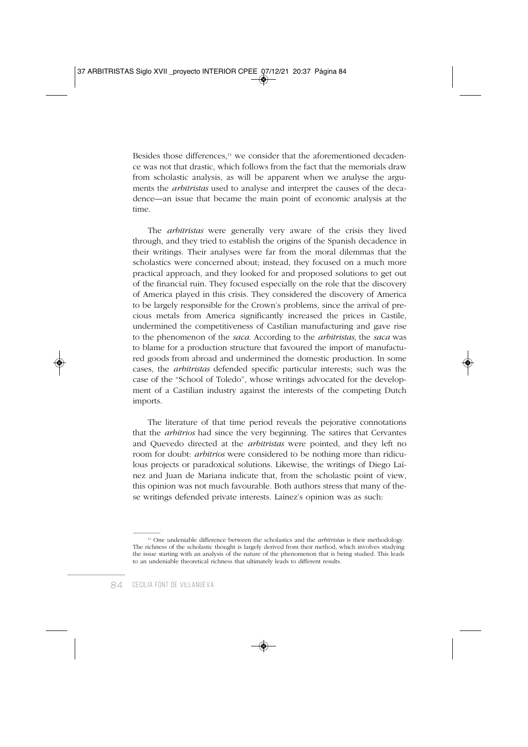Besides those differences,<sup>11</sup> we consider that the aforementioned decadence was not that drastic, which follows from the fact that the memorials draw from scholastic analysis, as will be apparent when we analyse the arguments the *arbitristas* used to analyse and interpret the causes of the decadence—an issue that became the main point of economic analysis at the time.

The *arbitristas* were generally very aware of the crisis they lived through, and they tried to establish the origins of the Spanish decadence in their writings. Their analyses were far from the moral dilemmas that the scholastics were concerned about; instead, they focused on a much more practical approach, and they looked for and proposed solutions to get out of the financial ruin. They focused especially on the role that the discovery of America played in this crisis. They considered the discovery of America to be largely responsible for the Crown's problems, since the arrival of precious metals from America significantly increased the prices in Castile, undermined the competitiveness of Castilian manufacturing and gave rise to the phenomenon of the *saca*. According to the *arbitristas*, the *saca* was to blame for a production structure that favoured the import of manufactured goods from abroad and undermined the domestic production. In some cases, the *arbitristas* defended specific particular interests; such was the case of the "School of Toledo", whose writings advocated for the development of a Castilian industry against the interests of the competing Dutch imports.

The literature of that time period reveals the pejorative connotations that the *arbitrios* had since the very beginning. The satires that Cervantes and Quevedo directed at the *arbitristas* were pointed, and they left no room for doubt: *arbitrios* were considered to be nothing more than ridiculous projects or paradoxical solutions. Likewise, the writings of Diego Laínez and Juan de Mariana indicate that, from the scholastic point of view, this opinion was not much favourable. Both authors stress that many of these writings defended private interests. Laínez's opinion was as such:

<sup>11</sup> One undeniable difference between the scholastics and the *arbitristas* is their methodology. The richness of the scholastic thought is largely derived from their method, which involves studying the issue starting with an analysis of the nature of the phenomenon that is being studied. This leads to an undeniable theoretical richness that ultimately leads to different results.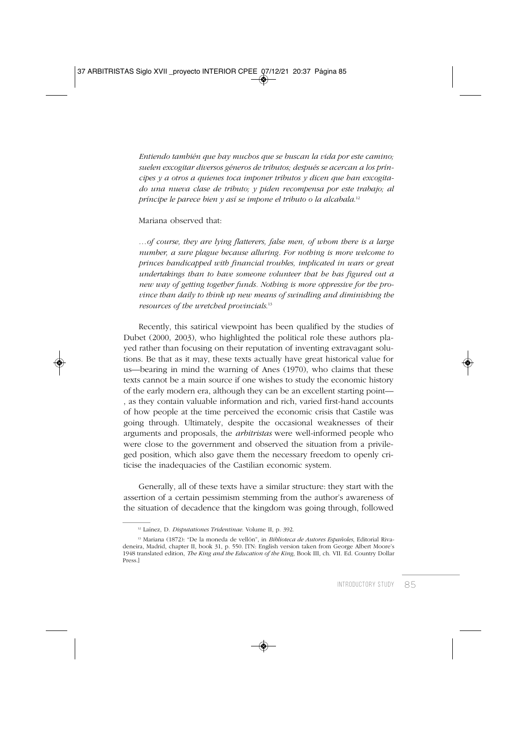*Entiendo también que hay muchos que se buscan la vida por este camino; suelen excogitar diversos géneros de tributos; después se acercan a los príncipes y a otros a quienes toca imponer tributos y dicen que han excogitado una nueva clase de tributo; y piden recompensa por este trabajo; al príncipe le parece bien y así se impone el tributo o la alcabala*. 12

#### Mariana observed that:

*…of course, they are lying flatterers, false men, of whom there is a large number, a sure plague because alluring. For nothing is more welcome to princes handicapped with financial troubles, implicated in wars or great undertakings than to have someone volunteer that he has figured out a new way of getting together funds. Nothing is more oppressive for the province than daily to think up new means of swindling and diminishing the resources of the wretched provincials*. 13

Recently, this satirical viewpoint has been qualified by the studies of Dubet (2000, 2003), who highlighted the political role these authors played rather than focusing on their reputation of inventing extravagant solutions. Be that as it may, these texts actually have great historical value for us—bearing in mind the warning of Anes (1970), who claims that these texts cannot be a main source if one wishes to study the economic history of the early modern era, although they can be an excellent starting point— , as they contain valuable information and rich, varied first-hand accounts of how people at the time perceived the economic crisis that Castile was going through. Ultimately, despite the occasional weaknesses of their arguments and proposals, the *arbitristas* were well-informed people who were close to the government and observed the situation from a privileged position, which also gave them the necessary freedom to openly criticise the inadequacies of the Castilian economic system.

Generally, all of these texts have a similar structure: they start with the assertion of a certain pessimism stemming from the author's awareness of the situation of decadence that the kingdom was going through, followed

<sup>12</sup> Laínez, D. *Disputationes Tridentinae*. Volume II, p. 392.

<sup>13</sup> Mariana (1872): "De la moneda de vellón", in *Biblioteca de Autores Españoles*, Editorial Rivadeneira, Madrid, chapter II, book 31, p. 550. [TN: English version taken from George Albert Moore's 1948 translated edition, *The King and the Education of the King*, Book III, ch. VII. Ed. Country Dollar Press.]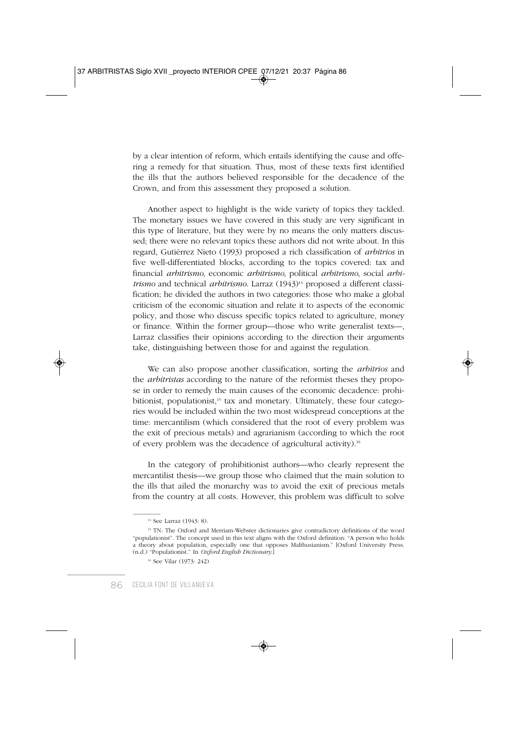by a clear intention of reform, which entails identifying the cause and offering a remedy for that situation. Thus, most of these texts first identified the ills that the authors believed responsible for the decadence of the Crown, and from this assessment they proposed a solution.

Another aspect to highlight is the wide variety of topics they tackled. The monetary issues we have covered in this study are very significant in this type of literature, but they were by no means the only matters discussed; there were no relevant topics these authors did not write about. In this regard, Gutiérrez Nieto (1993) proposed a rich classification of *arbitrios* in five well-differentiated blocks, according to the topics covered: tax and financial *arbitrismo*, economic *arbitrismo*, political *arbitrismo*, social *arbitrismo* and technical *arbitrismo*. Larraz (1943)<sup>14</sup> proposed a different classification; he divided the authors in two categories: those who make a global criticism of the economic situation and relate it to aspects of the economic policy, and those who discuss specific topics related to agriculture, money or finance. Within the former group—those who write generalist texts—, Larraz classifies their opinions according to the direction their arguments take, distinguishing between those for and against the regulation.

We can also propose another classification, sorting the *arbitrios* and the *arbitristas* according to the nature of the reformist theses they propose in order to remedy the main causes of the economic decadence: prohibitionist, populationist,<sup>15</sup> tax and monetary. Ultimately, these four categories would be included within the two most widespread conceptions at the time: mercantilism (which considered that the root of every problem was the exit of precious metals) and agrarianism (according to which the root of every problem was the decadence of agricultural activity).16

In the category of prohibitionist authors—who clearly represent the mercantilist thesis—we group those who claimed that the main solution to the ills that ailed the monarchy was to avoid the exit of precious metals from the country at all costs. However, this problem was difficult to solve

<sup>14</sup> See Larraz (1943: 8).

<sup>&</sup>lt;sup>15</sup> TN: The Oxford and Merriam-Webster dictionaries give contradictory definitions of the word "populationist". The concept used in this text aligns with the Oxford definition: "A person who holds a theory about population, especially one that opposes Malthusianism." [Oxford University Press. (n.d.) "Populationist." In *Oxford English Dictionary*.]

<sup>16</sup> See Vilar (1973: 242)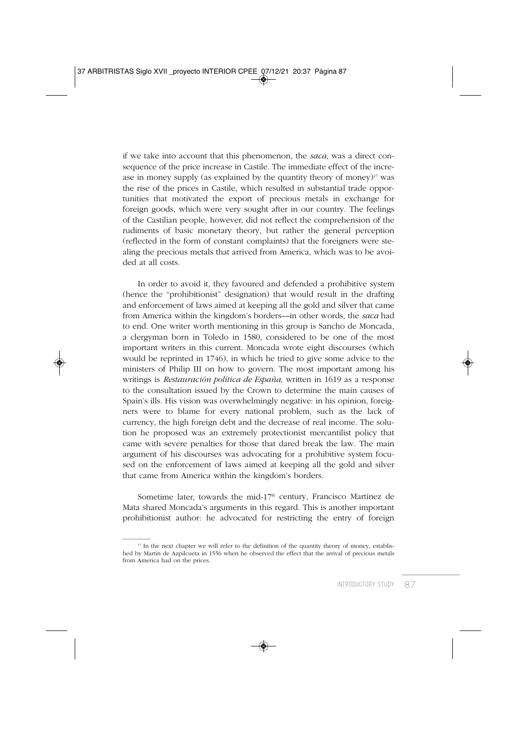if we take into account that this phenomenon, the *saca*, was a direct consequence of the price increase in Castile. The immediate effect of the increase in money supply (as explained by the quantity theory of money) $\frac{17}{17}$  was the rise of the prices in Castile, which resulted in substantial trade opportunities that motivated the export of precious metals in exchange for foreign goods, which were very sought after in our country. The feelings of the Castilian people, however, did not reflect the comprehension of the rudiments of basic monetary theory, but rather the general perception (reflected in the form of constant complaints) that the foreigners were stealing the precious metals that arrived from America, which was to be avoided at all costs.

In order to avoid it, they favoured and defended a prohibitive system (hence the "prohibitionist" designation) that would result in the drafting and enforcement of laws aimed at keeping all the gold and silver that came from America within the kingdom's borders—in other words, the *saca* had to end. One writer worth mentioning in this group is Sancho de Moncada, a clergyman born in Toledo in 1580, considered to be one of the most important writers in this current. Moncada wrote eight discourses (which would be reprinted in 1746), in which he tried to give some advice to the ministers of Philip III on how to govern. The most important among his writings is *Restauración política de España*, written in 1619 as a response to the consultation issued by the Crown to determine the main causes of Spain's ills. His vision was overwhelmingly negative: in his opinion, foreigners were to blame for every national problem, such as the lack of currency, the high foreign debt and the decrease of real income. The solution he proposed was an extremely protectionist mercantilist policy that came with severe penalties for those that dared break the law. The main argument of his discourses was advocating for a prohibitive system focused on the enforcement of laws aimed at keeping all the gold and silver that came from America within the kingdom's borders.

Sometime later, towards the mid-17<sup>th</sup> century, Francisco Martínez de Mata shared Moncada's arguments in this regard. This is another important prohibitionist author: he advocated for restricting the entry of foreign

<sup>&</sup>lt;sup>17</sup> In the next chapter we will refer to the definition of the quantity theory of money, established by Martín de Azpilcueta in 1556 when he observed the effect that the arrival of precious metals from America had on the prices.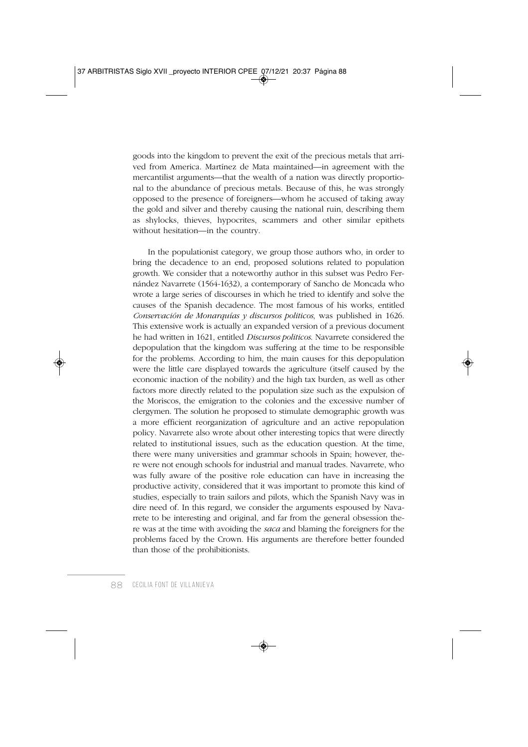goods into the kingdom to prevent the exit of the precious metals that arrived from America. Martínez de Mata maintained—in agreement with the mercantilist arguments—that the wealth of a nation was directly proportional to the abundance of precious metals. Because of this, he was strongly opposed to the presence of foreigners—whom he accused of taking away the gold and silver and thereby causing the national ruin, describing them as shylocks, thieves, hypocrites, scammers and other similar epithets without hesitation—in the country.

In the populationist category, we group those authors who, in order to bring the decadence to an end, proposed solutions related to population growth. We consider that a noteworthy author in this subset was Pedro Fernández Navarrete (1564-1632), a contemporary of Sancho de Moncada who wrote a large series of discourses in which he tried to identify and solve the causes of the Spanish decadence. The most famous of his works, entitled *Conservación de Monarquías y discursos politicos*, was published in 1626. This extensive work is actually an expanded version of a previous document he had written in 1621, entitled *Discursos politicos*. Navarrete considered the depopulation that the kingdom was suffering at the time to be responsible for the problems. According to him, the main causes for this depopulation were the little care displayed towards the agriculture (itself caused by the economic inaction of the nobility) and the high tax burden, as well as other factors more directly related to the population size such as the expulsion of the Moriscos, the emigration to the colonies and the excessive number of clergymen. The solution he proposed to stimulate demographic growth was a more efficient reorganization of agriculture and an active repopulation policy. Navarrete also wrote about other interesting topics that were directly related to institutional issues, such as the education question. At the time, there were many universities and grammar schools in Spain; however, there were not enough schools for industrial and manual trades. Navarrete, who was fully aware of the positive role education can have in increasing the productive activity, considered that it was important to promote this kind of studies, especially to train sailors and pilots, which the Spanish Navy was in dire need of. In this regard, we consider the arguments espoused by Navarrete to be interesting and original, and far from the general obsession there was at the time with avoiding the *saca* and blaming the foreigners for the problems faced by the Crown. His arguments are therefore better founded than those of the prohibitionists.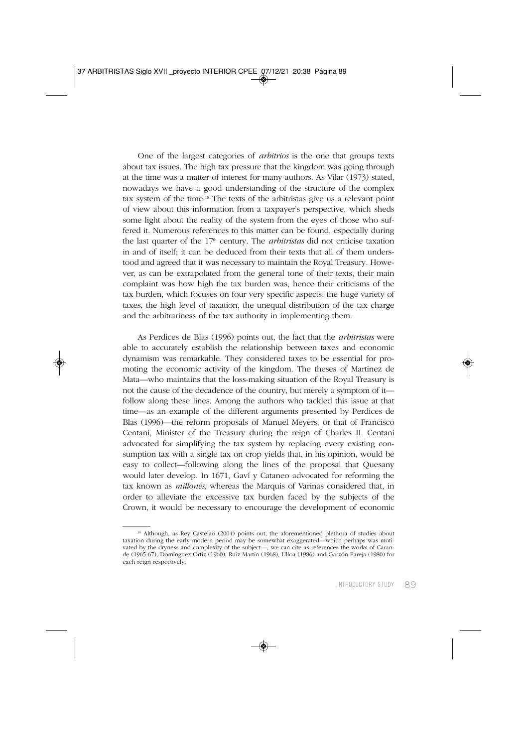One of the largest categories of *arbitrios* is the one that groups texts about tax issues. The high tax pressure that the kingdom was going through at the time was a matter of interest for many authors. As Vilar (1973) stated, nowadays we have a good understanding of the structure of the complex tax system of the time.18 The texts of the arbitristas give us a relevant point of view about this information from a taxpayer's perspective, which sheds some light about the reality of the system from the eyes of those who suffered it. Numerous references to this matter can be found, especially during the last quarter of the 17<sup>th</sup> century. The *arbitristas* did not criticise taxation in and of itself; it can be deduced from their texts that all of them understood and agreed that it was necessary to maintain the Royal Treasury. However, as can be extrapolated from the general tone of their texts, their main complaint was how high the tax burden was, hence their criticisms of the tax burden, which focuses on four very specific aspects: the huge variety of taxes, the high level of taxation, the unequal distribution of the tax charge and the arbitrariness of the tax authority in implementing them.

As Perdices de Blas (1996) points out, the fact that the *arbitristas* were able to accurately establish the relationship between taxes and economic dynamism was remarkable. They considered taxes to be essential for promoting the economic activity of the kingdom. The theses of Martínez de Mata—who maintains that the loss-making situation of the Royal Treasury is not the cause of the decadence of the country, but merely a symptom of it follow along these lines. Among the authors who tackled this issue at that time—as an example of the different arguments presented by Perdices de Blas (1996)—the reform proposals of Manuel Meyers, or that of Francisco Centani, Minister of the Treasury during the reign of Charles II. Centani advocated for simplifying the tax system by replacing every existing consumption tax with a single tax on crop yields that, in his opinion, would be easy to collect—following along the lines of the proposal that Quesany would later develop. In 1671, Gaví y Cataneo advocated for reforming the tax known as *millones*, whereas the Marquis of Varinas considered that, in order to alleviate the excessive tax burden faced by the subjects of the Crown, it would be necessary to encourage the development of economic

<sup>&</sup>lt;sup>18</sup> Although, as Rey Castelao (2004) points out, the aforementioned plethora of studies about taxation during the early modern period may be somewhat exaggerated—which perhaps was motivated by the dryness and complexity of the subject—, we can cite as references the works of Carande (1965-67), Domínguez Ortiz (1960), Ruiz Martín (1968), Ulloa (1986) and Garzón Pareja (1980) for each reign respectively.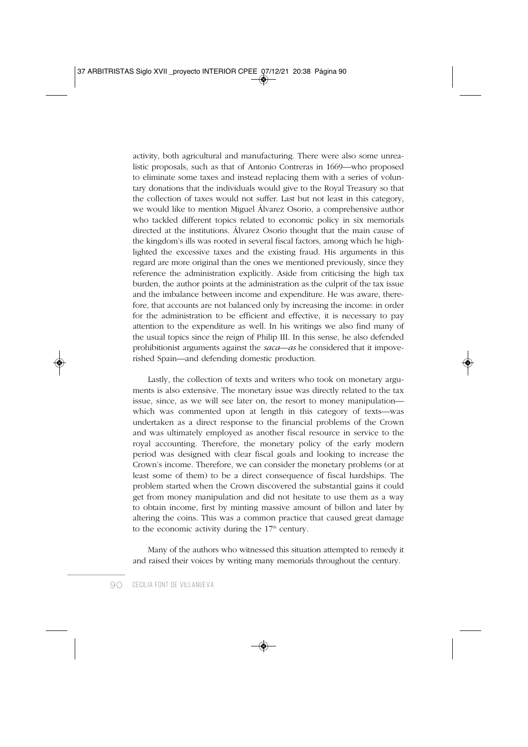activity, both agricultural and manufacturing. There were also some unrealistic proposals, such as that of Antonio Contreras in 1669—who proposed to eliminate some taxes and instead replacing them with a series of voluntary donations that the individuals would give to the Royal Treasury so that the collection of taxes would not suffer. Last but not least in this category, we would like to mention Miguel Álvarez Osorio, a comprehensive author who tackled different topics related to economic policy in six memorials directed at the institutions. Álvarez Osorio thought that the main cause of the kingdom's ills was rooted in several fiscal factors, among which he highlighted the excessive taxes and the existing fraud. His arguments in this regard are more original than the ones we mentioned previously, since they reference the administration explicitly. Aside from criticising the high tax burden, the author points at the administration as the culprit of the tax issue and the imbalance between income and expenditure. He was aware, therefore, that accounts are not balanced only by increasing the income: in order for the administration to be efficient and effective, it is necessary to pay attention to the expenditure as well. In his writings we also find many of the usual topics since the reign of Philip III. In this sense, he also defended prohibitionist arguments against the *saca—as* he considered that it impoverished Spain—and defending domestic production.

Lastly, the collection of texts and writers who took on monetary arguments is also extensive. The monetary issue was directly related to the tax issue, since, as we will see later on, the resort to money manipulation which was commented upon at length in this category of texts—was undertaken as a direct response to the financial problems of the Crown and was ultimately employed as another fiscal resource in service to the royal accounting. Therefore, the monetary policy of the early modern period was designed with clear fiscal goals and looking to increase the Crown's income. Therefore, we can consider the monetary problems (or at least some of them) to be a direct consequence of fiscal hardships. The problem started when the Crown discovered the substantial gains it could get from money manipulation and did not hesitate to use them as a way to obtain income, first by minting massive amount of billon and later by altering the coins. This was a common practice that caused great damage to the economic activity during the  $17<sup>th</sup>$  century.

Many of the authors who witnessed this situation attempted to remedy it and raised their voices by writing many memorials throughout the century.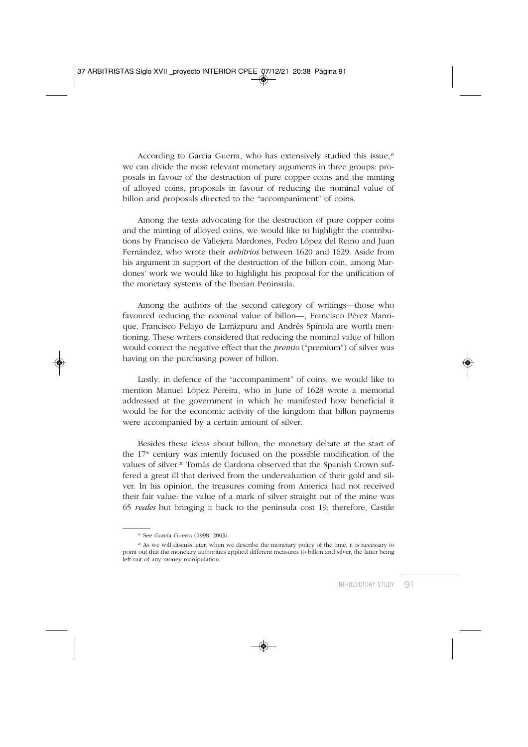According to García Guerra, who has extensively studied this issue,<sup>19</sup> we can divide the most relevant monetary arguments in three groups: proposals in favour of the destruction of pure copper coins and the minting of alloyed coins, proposals in favour of reducing the nominal value of billon and proposals directed to the "accompaniment" of coins.

Among the texts advocating for the destruction of pure copper coins and the minting of alloyed coins, we would like to highlight the contributions by Francisco de Vallejera Mardones, Pedro López del Reino and Juan Fernández, who wrote their *arbitrios* between 1620 and 1629. Aside from his argument in support of the destruction of the billon coin, among Mardones' work we would like to highlight his proposal for the unification of the monetary systems of the Iberian Peninsula.

Among the authors of the second category of writings—those who favoured reducing the nominal value of billon—, Francisco Pérez Manrique, Francisco Pelayo de Larrázpuru and Andrés Spínola are worth mentioning. These writers considered that reducing the nominal value of billon would correct the negative effect that the *premio* ("premium") of silver was having on the purchasing power of billon.

Lastly, in defence of the "accompaniment" of coins, we would like to mention Manuel López Pereira, who in June of 1628 wrote a memorial addressed at the government in which he manifested how beneficial it would be for the economic activity of the kingdom that billon payments were accompanied by a certain amount of silver.

Besides these ideas about billon, the monetary debate at the start of the 17<sup>th</sup> century was intently focused on the possible modification of the values of silver.<sup>20</sup> Tomás de Cardona observed that the Spanish Crown suffered a great ill that derived from the undervaluation of their gold and silver. In his opinion, the treasures coming from America had not received their fair value: the value of a mark of silver straight out of the mine was 65 *reales* but bringing it back to the peninsula cost 19; therefore, Castile

<sup>19</sup> See García Guerra (1998, 2003).

<sup>&</sup>lt;sup>20</sup> As we will discuss later, when we describe the monetary policy of the time, it is necessary to point out that the monetary authorities applied different measures to billon and silver, the latter being left out of any money manipulation.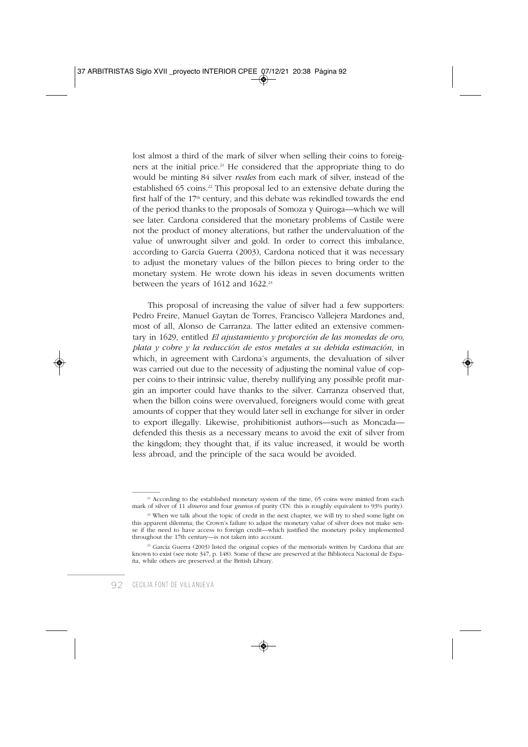lost almost a third of the mark of silver when selling their coins to foreigners at the initial price.<sup>21</sup> He considered that the appropriate thing to do would be minting 84 silver *reales* from each mark of silver, instead of the established 65 coins.<sup>22</sup> This proposal led to an extensive debate during the first half of the  $17<sup>th</sup>$  century, and this debate was rekindled towards the end of the period thanks to the proposals of Somoza y Quiroga—which we will see later. Cardona considered that the monetary problems of Castile were not the product of money alterations, but rather the undervaluation of the value of unwrought silver and gold. In order to correct this imbalance, according to García Guerra (2003), Cardona noticed that it was necessary to adjust the monetary values of the billon pieces to bring order to the monetary system. He wrote down his ideas in seven documents written between the years of 1612 and 1622.<sup>23</sup>

This proposal of increasing the value of silver had a few supporters: Pedro Freire, Manuel Gaytan de Torres, Francisco Vallejera Mardones and, most of all, Alonso de Carranza. The latter edited an extensive commentary in 1629, entitled *El ajustamiento y proporción de las monedas de oro, plata y cobre y la reducción de estos metales a su debida estimación*, in which, in agreement with Cardona's arguments, the devaluation of silver was carried out due to the necessity of adjusting the nominal value of copper coins to their intrinsic value, thereby nullifying any possible profit margin an importer could have thanks to the silver. Carranza observed that, when the billon coins were overvalued, foreigners would come with great amounts of copper that they would later sell in exchange for silver in order to export illegally. Likewise, prohibitionist authors—such as Moncada defended this thesis as a necessary means to avoid the exit of silver from the kingdom; they thought that, if its value increased, it would be worth less abroad, and the principle of the saca would be avoided.

<sup>&</sup>lt;sup>21</sup> According to the established monetary system of the time, 65 coins were minted from each mark of silver of 11 *dineros* and four *granos* of purity (TN: this is roughly equivalent to 93% purity).

<sup>&</sup>lt;sup>22</sup> When we talk about the topic of credit in the next chapter, we will try to shed some light on this apparent dilemma; the Crown's failure to adjust the monetary value of silver does not make sense if the need to have access to foreign credit—which justified the monetary policy implemented throughout the 17th century—is not taken into account.

<sup>&</sup>lt;sup>23</sup> García Guerra (2003) listed the original copies of the memorials written by Cardona that are known to exist (see note 347, p. 148). Some of these are preserved at the Biblioteca Nacional de España, while others are preserved at the British Library.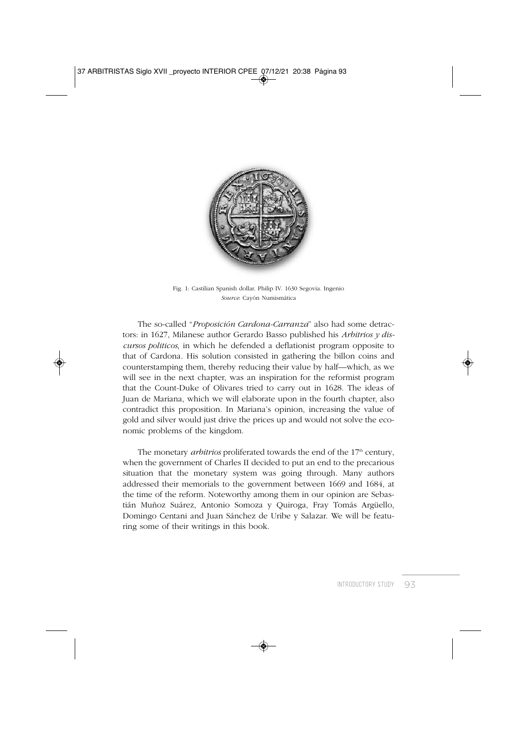

Fig. 1: Castilian Spanish dollar. Philip IV. 1630 Segovia. Ingenio *Source*: Cayón Numismática

The so-called "*Proposición Cardona-Carranza*" also had some detractors: in 1627, Milanese author Gerardo Basso published his *Arbitrios y discursos politicos*, in which he defended a deflationist program opposite to that of Cardona. His solution consisted in gathering the billon coins and counterstamping them, thereby reducing their value by half—which, as we will see in the next chapter, was an inspiration for the reformist program that the Count-Duke of Olivares tried to carry out in 1628. The ideas of Juan de Mariana, which we will elaborate upon in the fourth chapter, also contradict this proposition. In Mariana's opinion, increasing the value of gold and silver would just drive the prices up and would not solve the economic problems of the kingdom.

The monetary *arbitrios* proliferated towards the end of the 17<sup>th</sup> century, when the government of Charles II decided to put an end to the precarious situation that the monetary system was going through. Many authors addressed their memorials to the government between 1669 and 1684, at the time of the reform. Noteworthy among them in our opinion are Sebastián Muñoz Suárez, Antonio Somoza y Quiroga, Fray Tomás Argüello, Domingo Centani and Juan Sánchez de Uribe y Salazar. We will be featuring some of their writings in this book.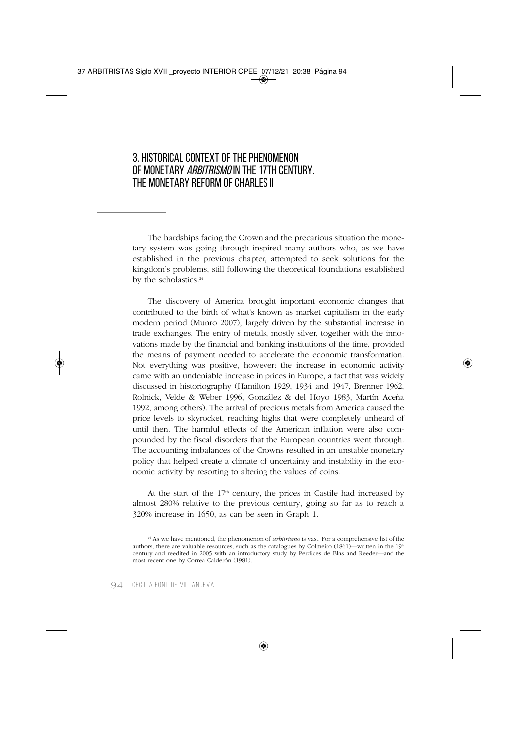### 3. HISTORICAL CONTEXT OF THE PHENOMENON OF MONETARY *ARRITRISMO* IN THE 17TH CENTURY. THE MONETARY REFORM OF CHARLES II

The hardships facing the Crown and the precarious situation the monetary system was going through inspired many authors who, as we have established in the previous chapter, attempted to seek solutions for the kingdom's problems, still following the theoretical foundations established by the scholastics.<sup>24</sup>

The discovery of America brought important economic changes that contributed to the birth of what's known as market capitalism in the early modern period (Munro 2007), largely driven by the substantial increase in trade exchanges. The entry of metals, mostly silver, together with the innovations made by the financial and banking institutions of the time, provided the means of payment needed to accelerate the economic transformation. Not everything was positive, however: the increase in economic activity came with an undeniable increase in prices in Europe, a fact that was widely discussed in historiography (Hamilton 1929, 1934 and 1947, Brenner 1962, Rolnick, Velde & Weber 1996, González & del Hoyo 1983, Martín Aceña 1992, among others). The arrival of precious metals from America caused the price levels to skyrocket, reaching highs that were completely unheard of until then. The harmful effects of the American inflation were also compounded by the fiscal disorders that the European countries went through. The accounting imbalances of the Crowns resulted in an unstable monetary policy that helped create a climate of uncertainty and instability in the economic activity by resorting to altering the values of coins.

At the start of the  $17<sup>th</sup>$  century, the prices in Castile had increased by almost 280% relative to the previous century, going so far as to reach a 320% increase in 1650, as can be seen in Graph 1.

<sup>&</sup>lt;sup>24</sup> As we have mentioned, the phenomenon of *arbitrismo* is vast. For a comprehensive list of the authors, there are valuable resources, such as the catalogues by Colmeiro (1861)—written in the  $19<sup>th</sup>$ century and reedited in 2005 with an introductory study by Perdices de Blas and Reeder—and the most recent one by Correa Calderón (1981).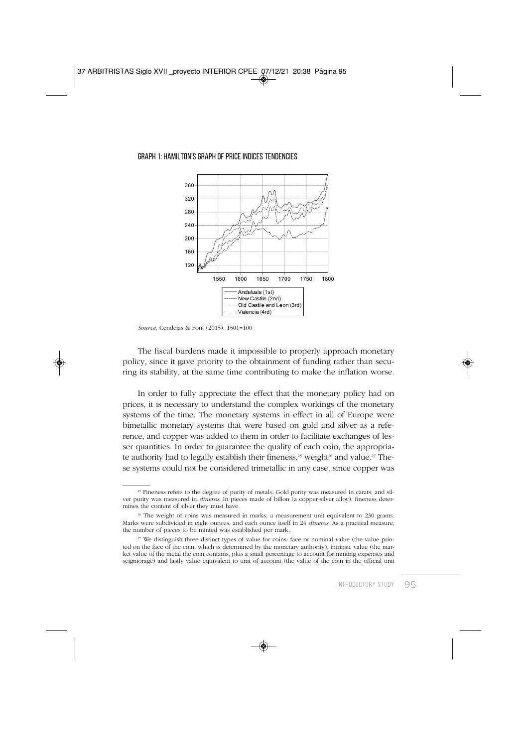#### GRAPH 1: HAMILTON'S GRAPH OF PRICE INDICES TENDENCIES



*Source*, Cendejas & Font (2015). 1501=100

The fiscal burdens made it impossible to properly approach monetary policy, since it gave priority to the obtainment of funding rather than securing its stability, at the same time contributing to make the inflation worse.

In order to fully appreciate the effect that the monetary policy had on prices, it is necessary to understand the complex workings of the monetary systems of the time. The monetary systems in effect in all of Europe were bimetallic monetary systems that were based on gold and silver as a reference, and copper was added to them in order to facilitate exchanges of lesser quantities. In order to guarantee the quality of each coin, the appropriate authority had to legally establish their fineness,<sup>25</sup> weight<sup>26</sup> and value.<sup>27</sup> These systems could not be considered trimetallic in any case, since copper was

<sup>&</sup>lt;sup>25</sup> Fineness refers to the degree of purity of metals. Gold purity was measured in carats, and silver purity was measured in *dineros*. In pieces made of billon (a copper-silver alloy), fineness determines the content of silver they must have.

<sup>&</sup>lt;sup>26</sup> The weight of coins was measured in marks, a measurement unit equivalent to 230 grams. Marks were subdivided in eight ounces, and each ounce itself in 24 *dineros*. As a practical measure, the number of pieces to be minted was established per mark.

<sup>&</sup>lt;sup>27</sup> We distinguish three distinct types of value for coins: face or nominal value (the value printed on the face of the coin, which is determined by the monetary authority), intrinsic value (the market value of the metal the coin contains, plus a small percentage to account for minting expenses and seigniorage) and lastly value equivalent to unit of account (the value of the coin in the official unit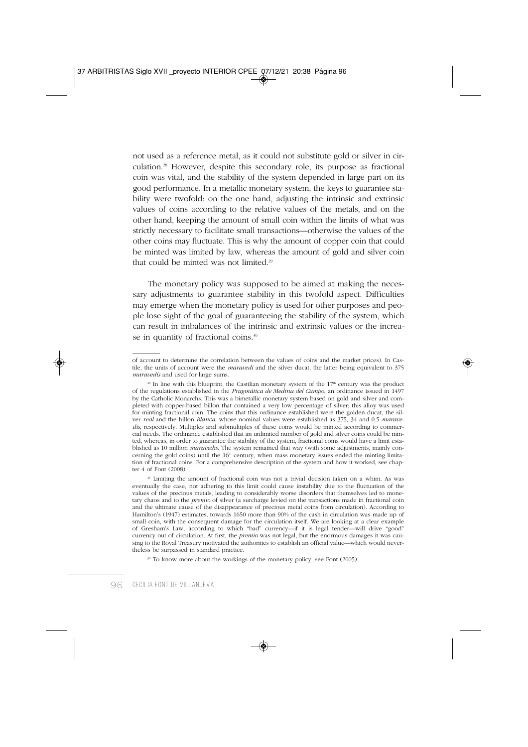not used as a reference metal, as it could not substitute gold or silver in circulation.28 However, despite this secondary role, its purpose as fractional coin was vital, and the stability of the system depended in large part on its good performance. In a metallic monetary system, the keys to guarantee stability were twofold: on the one hand, adjusting the intrinsic and extrinsic values of coins according to the relative values of the metals, and on the other hand, keeping the amount of small coin within the limits of what was strictly necessary to facilitate small transactions—otherwise the values of the other coins may fluctuate. This is why the amount of copper coin that could be minted was limited by law, whereas the amount of gold and silver coin that could be minted was not limited.29

The monetary policy was supposed to be aimed at making the necessary adjustments to guarantee stability in this twofold aspect. Difficulties may emerge when the monetary policy is used for other purposes and people lose sight of the goal of guaranteeing the stability of the system, which can result in imbalances of the intrinsic and extrinsic values or the increase in quantity of fractional coins.<sup>30</sup>

<sup>29</sup> Limiting the amount of fractional coin was not a trivial decision taken on a whim. As was eventually the case, not adhering to this limit could cause instability due to the fluctuation of the values of the precious metals, leading to considerably worse disorders that themselves led to monetary chaos and to the *premio* of silver (a surcharge levied on the transactions made in fractional coin and the ultimate cause of the disappearance of precious metal coins from circulation). According to Hamilton's (1947) estimates, towards 1650 more than 90% of the cash in circulation was made up of small coin, with the consequent damage for the circulation itself. We are looking at a clear example of Gresham's Law, according to which "bad" currency—if it is legal tender—will drive "good" currency out of circulation. At first, the *premio* was not legal, but the enormous damages it was causing to the Royal Treasury motivated the authorities to establish an official value—which would nevertheless be surpassed in standard practice.

<sup>30</sup> To know more about the workings of the monetary policy, see Font (2005).

of account to determine the correlation between the values of coins and the market prices). In Castile, the units of account were the *maravedi* and the silver ducat, the latter being equivalent to 375 *maravedís* and used for large sums.

 $^{28}$  In line with this blueprint, the Castilian monetary system of the  $17<sup>th</sup>$  century was the product of the regulations established in the *Pragmática de Medina del Campo*, an ordinance issued in 1497 by the Catholic Monarchs. This was a bimetallic monetary system based on gold and silver and completed with copper-based billon that contained a very low percentage of silver; this alloy was used for minting fractional coin. The coins that this ordinance established were the golden ducat, the silver *real* and the billon *blanca*, whose nominal values were established as 375, 34 and 0.5 *maravedís*, respectively. Multiples and submultiples of these coins would be minted according to commercial needs. The ordinance established that an unlimited number of gold and silver coins could be minted, whereas, in order to guarantee the stability of the system, fractional coins would have a limit established as 10 million *maravedís*. The system remained that way (with some adjustments, mainly concerning the gold coins) until the  $16<sup>th</sup>$  century, when mass monetary issues ended the minting limitation of fractional coins. For a comprehensive description of the system and how it worked, see chapter 4 of Font (2008).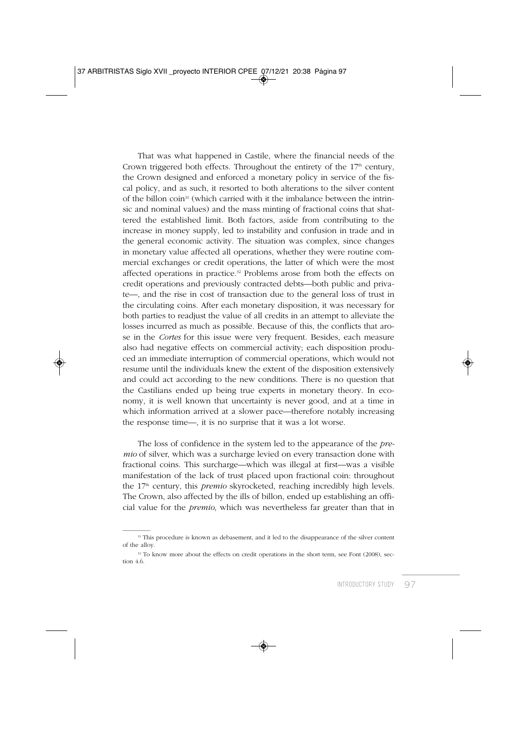That was what happened in Castile, where the financial needs of the Crown triggered both effects. Throughout the entirety of the  $17<sup>th</sup>$  century, the Crown designed and enforced a monetary policy in service of the fiscal policy, and as such, it resorted to both alterations to the silver content of the billon coin<sup>31</sup> (which carried with it the imbalance between the intrinsic and nominal values) and the mass minting of fractional coins that shattered the established limit. Both factors, aside from contributing to the increase in money supply, led to instability and confusion in trade and in the general economic activity. The situation was complex, since changes in monetary value affected all operations, whether they were routine commercial exchanges or credit operations, the latter of which were the most affected operations in practice.<sup>32</sup> Problems arose from both the effects on credit operations and previously contracted debts—both public and private—, and the rise in cost of transaction due to the general loss of trust in the circulating coins. After each monetary disposition, it was necessary for both parties to readjust the value of all credits in an attempt to alleviate the losses incurred as much as possible. Because of this, the conflicts that arose in the *Cortes* for this issue were very frequent. Besides, each measure also had negative effects on commercial activity; each disposition produced an immediate interruption of commercial operations, which would not resume until the individuals knew the extent of the disposition extensively and could act according to the new conditions. There is no question that the Castilians ended up being true experts in monetary theory. In economy, it is well known that uncertainty is never good, and at a time in which information arrived at a slower pace—therefore notably increasing the response time—, it is no surprise that it was a lot worse.

The loss of confidence in the system led to the appearance of the *premio* of silver, which was a surcharge levied on every transaction done with fractional coins. This surcharge—which was illegal at first—was a visible manifestation of the lack of trust placed upon fractional coin: throughout the 17<sup>th</sup> century, this *premio* skyrocketed, reaching incredibly high levels. The Crown, also affected by the ills of billon, ended up establishing an official value for the *premio*, which was nevertheless far greater than that in

<sup>&</sup>lt;sup>31</sup> This procedure is known as debasement, and it led to the disappearance of the silver content of the alloy.

<sup>&</sup>lt;sup>32</sup> To know more about the effects on credit operations in the short term, see Font (2008), section 4.6.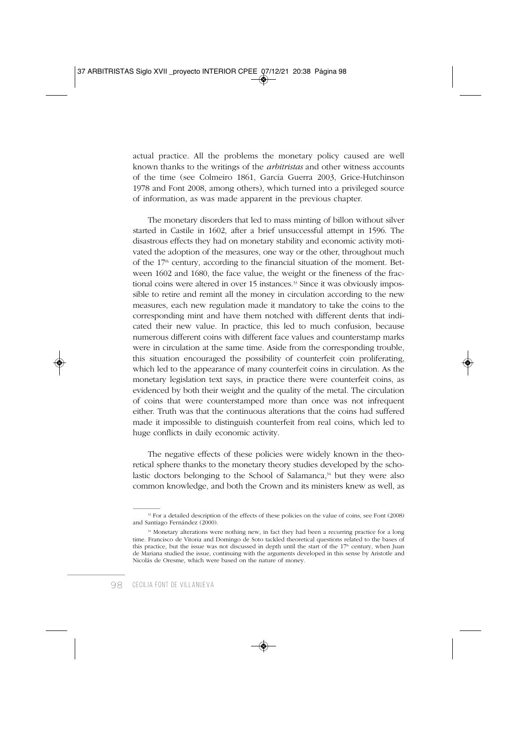actual practice. All the problems the monetary policy caused are well known thanks to the writings of the *arbitristas* and other witness accounts of the time (see Colmeiro 1861, García Guerra 2003, Grice-Hutchinson 1978 and Font 2008, among others), which turned into a privileged source of information, as was made apparent in the previous chapter.

The monetary disorders that led to mass minting of billon without silver started in Castile in 1602, after a brief unsuccessful attempt in 1596. The disastrous effects they had on monetary stability and economic activity motivated the adoption of the measures, one way or the other, throughout much of the  $17<sup>th</sup>$  century, according to the financial situation of the moment. Between 1602 and 1680, the face value, the weight or the fineness of the fractional coins were altered in over 15 instances.<sup>33</sup> Since it was obviously impossible to retire and remint all the money in circulation according to the new measures, each new regulation made it mandatory to take the coins to the corresponding mint and have them notched with different dents that indicated their new value. In practice, this led to much confusion, because numerous different coins with different face values and counterstamp marks were in circulation at the same time. Aside from the corresponding trouble, this situation encouraged the possibility of counterfeit coin proliferating, which led to the appearance of many counterfeit coins in circulation. As the monetary legislation text says, in practice there were counterfeit coins, as evidenced by both their weight and the quality of the metal. The circulation of coins that were counterstamped more than once was not infrequent either. Truth was that the continuous alterations that the coins had suffered made it impossible to distinguish counterfeit from real coins, which led to huge conflicts in daily economic activity.

The negative effects of these policies were widely known in the theoretical sphere thanks to the monetary theory studies developed by the scholastic doctors belonging to the School of Salamanca,<sup>34</sup> but they were also common knowledge, and both the Crown and its ministers knew as well, as

<sup>&</sup>lt;sup>33</sup> For a detailed description of the effects of these policies on the value of coins, see Font (2008) and Santiago Fernández (2000).

<sup>&</sup>lt;sup>34</sup> Monetary alterations were nothing new, in fact they had been a recurring practice for a long time. Francisco de Vitoria and Domingo de Soto tackled theoretical questions related to the bases of this practice, but the issue was not discussed in depth until the start of the  $17<sup>th</sup>$  century, when Juan de Mariana studied the issue, continuing with the arguments developed in this sense by Aristotle and Nicolás de Oresme, which were based on the nature of money.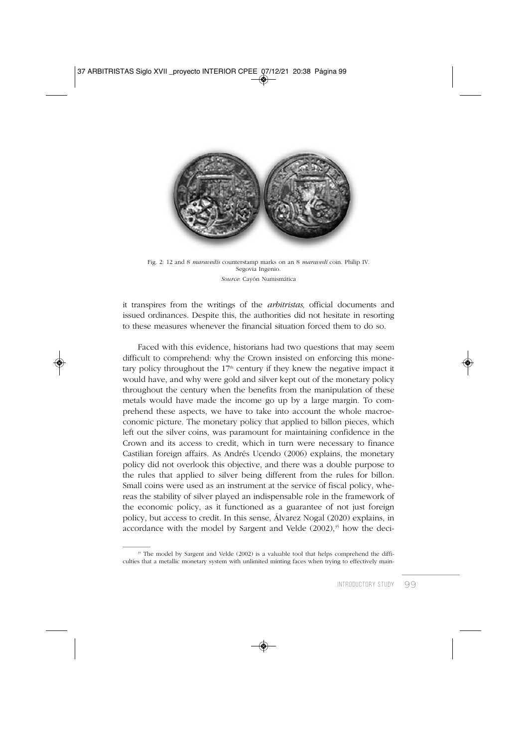

Fig. 2: 12 and 8 *maravedís* counterstamp marks on an 8 *maravedí* coin. Philip IV. Segovia Ingenio. *Source*: Cayón Numismática

it transpires from the writings of the *arbitristas*, official documents and issued ordinances. Despite this, the authorities did not hesitate in resorting to these measures whenever the financial situation forced them to do so.

Faced with this evidence, historians had two questions that may seem difficult to comprehend: why the Crown insisted on enforcing this monetary policy throughout the  $17<sup>th</sup>$  century if they knew the negative impact it would have, and why were gold and silver kept out of the monetary policy throughout the century when the benefits from the manipulation of these metals would have made the income go up by a large margin. To comprehend these aspects, we have to take into account the whole macroeconomic picture. The monetary policy that applied to billon pieces, which left out the silver coins, was paramount for maintaining confidence in the Crown and its access to credit, which in turn were necessary to finance Castilian foreign affairs. As Andrés Ucendo (2006) explains, the monetary policy did not overlook this objective, and there was a double purpose to the rules that applied to silver being different from the rules for billon. Small coins were used as an instrument at the service of fiscal policy, whereas the stability of silver played an indispensable role in the framework of the economic policy, as it functioned as a guarantee of not just foreign policy, but access to credit. In this sense, Álvarez Nogal (2020) explains, in accordance with the model by Sargent and Velde  $(2002)$ ,<sup>35</sup> how the deci-

<sup>&</sup>lt;sup>35</sup> The model by Sargent and Velde (2002) is a valuable tool that helps comprehend the difficulties that a metallic monetary system with unlimited minting faces when trying to effectively main-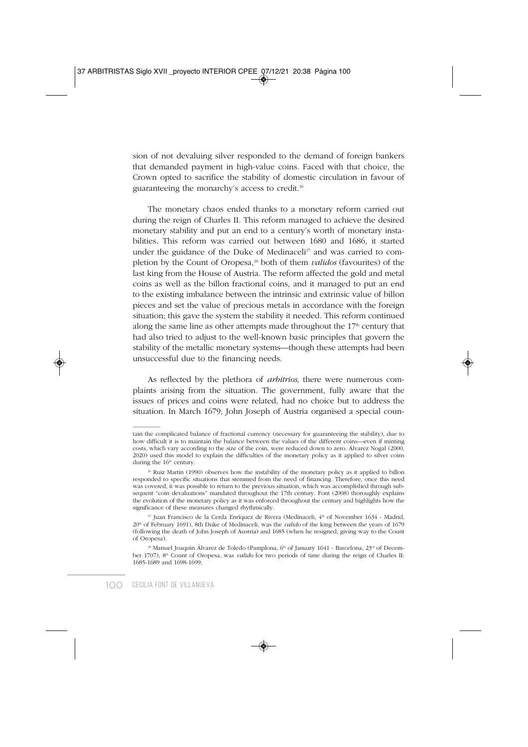sion of not devaluing silver responded to the demand of foreign bankers that demanded payment in high-value coins. Faced with that choice, the Crown opted to sacrifice the stability of domestic circulation in favour of guaranteeing the monarchy's access to credit.36

The monetary chaos ended thanks to a monetary reform carried out during the reign of Charles II. This reform managed to achieve the desired monetary stability and put an end to a century's worth of monetary instabilities. This reform was carried out between 1680 and 1686, it started under the guidance of the Duke of Medinaceli<sup>37</sup> and was carried to completion by the Count of Oropesa,38 both of them *validos* (favourites) of the last king from the House of Austria. The reform affected the gold and metal coins as well as the billon fractional coins, and it managed to put an end to the existing imbalance between the intrinsic and extrinsic value of billon pieces and set the value of precious metals in accordance with the foreign situation; this gave the system the stability it needed. This reform continued along the same line as other attempts made throughout the  $17<sup>th</sup>$  century that had also tried to adjust to the well-known basic principles that govern the stability of the metallic monetary systems—though these attempts had been unsuccessful due to the financing needs.

As reflected by the plethora of *arbitrios*, there were numerous complaints arising from the situation. The government, fully aware that the issues of prices and coins were related, had no choice but to address the situation. In March 1679, John Joseph of Austria organised a special coun-

tain the complicated balance of fractional currency (necessary for guaranteeing the stability), due to how difficult it is to maintain the balance between the values of the different coins—even if minting costs, which vary according to the size of the coin, were reduced down to zero. Álvarez Nogal (2000, 2020) used this model to explain the difficulties of the monetary policy as it applied to silver coins during the  $16<sup>th</sup>$  century.

<sup>36</sup> Ruiz Martín (1990) observes how the instability of the monetary policy as it applied to billon responded to specific situations that stemmed from the need of financing. Therefore, once this need was covered, it was possible to return to the previous situation, which was accomplished through subsequent "coin devaluations" mandated throughout the 17th century. Font (2008) thoroughly explains the evolution of the monetary policy as it was enforced throughout the century and highlights how the significance of these measures changed rhythmically.

<sup>&</sup>lt;sup>37</sup> Juan Francisco de la Cerda Enríquez de Rivera (Medinaceli, 4<sup>th</sup> of November 1634 - Madrid, 20th of February 1691), 8th Duke of Medinaceli, was the *valido* of the king between the years of 1679 (following the death of John Joseph of Austria) and 1685 (when he resigned, giving way to the Count of Oropesa).

<sup>&</sup>lt;sup>38</sup> Manuel Joaquín Álvarez de Toledo (Pamplona, 6<sup>th</sup> of January 1641 - Barcelona, 23<sup>rd</sup> of December 1707), 8th Count of Oropesa, was *valido* for two periods of time during the reign of Charles II: 1685-1689 and 1698-1699.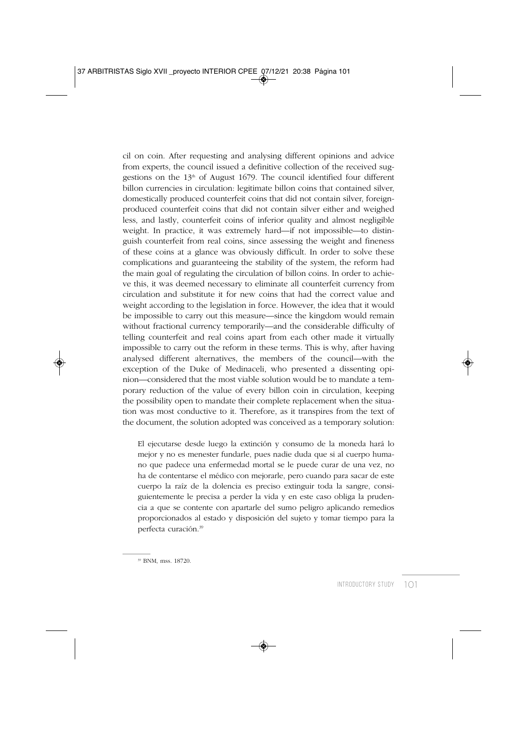cil on coin. After requesting and analysing different opinions and advice from experts, the council issued a definitive collection of the received suggestions on the  $13<sup>th</sup>$  of August 1679. The council identified four different billon currencies in circulation: legitimate billon coins that contained silver, domestically produced counterfeit coins that did not contain silver, foreignproduced counterfeit coins that did not contain silver either and weighed less, and lastly, counterfeit coins of inferior quality and almost negligible weight. In practice, it was extremely hard—if not impossible—to distinguish counterfeit from real coins, since assessing the weight and fineness of these coins at a glance was obviously difficult. In order to solve these complications and guaranteeing the stability of the system, the reform had the main goal of regulating the circulation of billon coins. In order to achieve this, it was deemed necessary to eliminate all counterfeit currency from circulation and substitute it for new coins that had the correct value and weight according to the legislation in force. However, the idea that it would be impossible to carry out this measure—since the kingdom would remain without fractional currency temporarily—and the considerable difficulty of telling counterfeit and real coins apart from each other made it virtually impossible to carry out the reform in these terms. This is why, after having analysed different alternatives, the members of the council—with the exception of the Duke of Medinaceli, who presented a dissenting opinion—considered that the most viable solution would be to mandate a temporary reduction of the value of every billon coin in circulation, keeping the possibility open to mandate their complete replacement when the situation was most conductive to it. Therefore, as it transpires from the text of the document, the solution adopted was conceived as a temporary solution:

El ejecutarse desde luego la extinción y consumo de la moneda hará lo mejor y no es menester fundarle, pues nadie duda que si al cuerpo humano que padece una enfermedad mortal se le puede curar de una vez, no ha de contentarse el médico con mejorarle, pero cuando para sacar de este cuerpo la raíz de la dolencia es preciso extinguir toda la sangre, consiguientemente le precisa a perder la vida y en este caso obliga la prudencia a que se contente con apartarle del sumo peligro aplicando remedios proporcionados al estado y disposición del sujeto y tomar tiempo para la perfecta curación.39

<sup>39</sup> BNM, mss. 18720.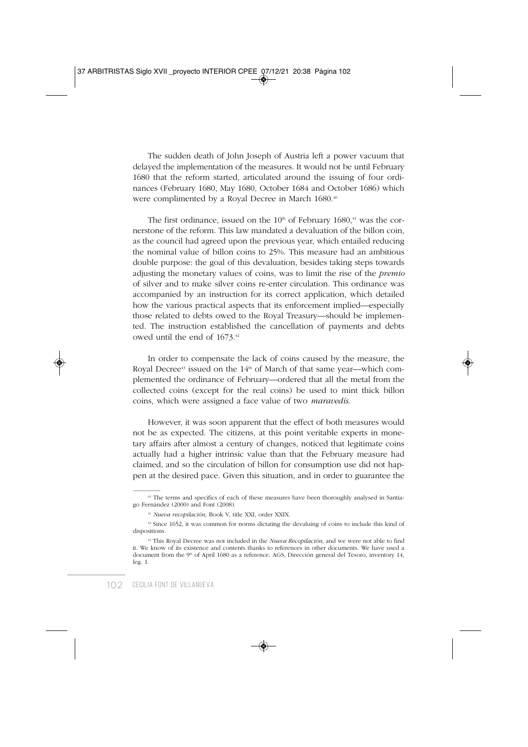The sudden death of John Joseph of Austria left a power vacuum that delayed the implementation of the measures. It would not be until February 1680 that the reform started, articulated around the issuing of four ordinances (February 1680, May 1680, October 1684 and October 1686) which were complimented by a Royal Decree in March 1680.<sup>40</sup>

The first ordinance, issued on the  $10<sup>th</sup>$  of February  $1680<sup>41</sup>$  was the cornerstone of the reform. This law mandated a devaluation of the billon coin, as the council had agreed upon the previous year, which entailed reducing the nominal value of billon coins to 25%. This measure had an ambitious double purpose: the goal of this devaluation, besides taking steps towards adjusting the monetary values of coins, was to limit the rise of the *premio* of silver and to make silver coins re-enter circulation. This ordinance was accompanied by an instruction for its correct application, which detailed how the various practical aspects that its enforcement implied—especially those related to debts owed to the Royal Treasury—should be implemented. The instruction established the cancellation of payments and debts owed until the end of 1673.42

In order to compensate the lack of coins caused by the measure, the Royal Decree<sup>43</sup> issued on the  $14<sup>th</sup>$  of March of that same year—which complemented the ordinance of February—ordered that all the metal from the collected coins (except for the real coins) be used to mint thick billon coins, which were assigned a face value of two *maravedís*.

However, it was soon apparent that the effect of both measures would not be as expected. The citizens, at this point veritable experts in monetary affairs after almost a century of changes, noticed that legitimate coins actually had a higher intrinsic value than that the February measure had claimed, and so the circulation of billon for consumption use did not happen at the desired pace. Given this situation, and in order to guarantee the

<sup>40</sup> The terms and specifics of each of these measures have been thoroughly analysed in Santiago Fernández (2000) and Font (2008).

<sup>41</sup>*Nueva recopilación*, Book V, title XXI, order XXIX.

 $42$  Since 1652, it was common for norms dictating the devaluing of coins to include this kind of dispositions.

<sup>43</sup> This Royal Decree was not included in the *Nueva Recopilación*, and we were not able to find it. We know of its existence and contents thanks to references in other documents. We have used a document from the 9<sup>th</sup> of April 1680 as a reference. AGS, Dirección general del Tesoro, inventory 14, leg. 1.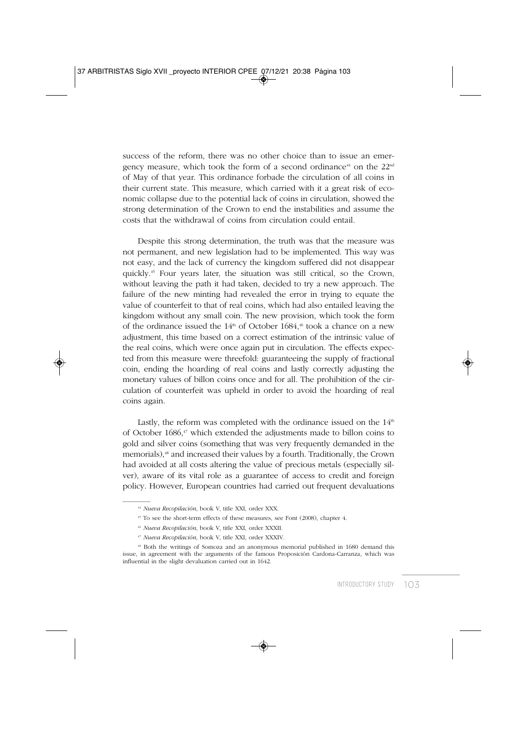success of the reform, there was no other choice than to issue an emergency measure, which took the form of a second ordinance<sup>44</sup> on the  $22<sup>nd</sup>$ of May of that year. This ordinance forbade the circulation of all coins in their current state. This measure, which carried with it a great risk of economic collapse due to the potential lack of coins in circulation, showed the strong determination of the Crown to end the instabilities and assume the costs that the withdrawal of coins from circulation could entail.

Despite this strong determination, the truth was that the measure was not permanent, and new legislation had to be implemented. This way was not easy, and the lack of currency the kingdom suffered did not disappear quickly.45 Four years later, the situation was still critical, so the Crown, without leaving the path it had taken, decided to try a new approach. The failure of the new minting had revealed the error in trying to equate the value of counterfeit to that of real coins, which had also entailed leaving the kingdom without any small coin. The new provision, which took the form of the ordinance issued the  $14<sup>th</sup>$  of October 1684,<sup>46</sup> took a chance on a new adjustment, this time based on a correct estimation of the intrinsic value of the real coins, which were once again put in circulation. The effects expected from this measure were threefold: guaranteeing the supply of fractional coin, ending the hoarding of real coins and lastly correctly adjusting the monetary values of billon coins once and for all. The prohibition of the circulation of counterfeit was upheld in order to avoid the hoarding of real coins again.

Lastly, the reform was completed with the ordinance issued on the  $14<sup>th</sup>$ of October 1686,47 which extended the adjustments made to billon coins to gold and silver coins (something that was very frequently demanded in the memorials),<sup>48</sup> and increased their values by a fourth. Traditionally, the Crown had avoided at all costs altering the value of precious metals (especially silver), aware of its vital role as a guarantee of access to credit and foreign policy. However, European countries had carried out frequent devaluations

<sup>47</sup>*Nueva Recopilación*, book V, title XXI, order XXXIV.

<sup>44</sup>*Nueva Recopilación*, book V, title XXI, order XXX.

<sup>45</sup> To see the short-term effects of these measures, see Font (2008), chapter 4.

<sup>46</sup>*Nueva Recopilación*, book V, title XXI, order XXXII.

<sup>48</sup> Both the writings of Somoza and an anonymous memorial published in 1680 demand this issue, in agreement with the arguments of the famous Proposición Cardona-Carranza, which was influential in the slight devaluation carried out in 1642.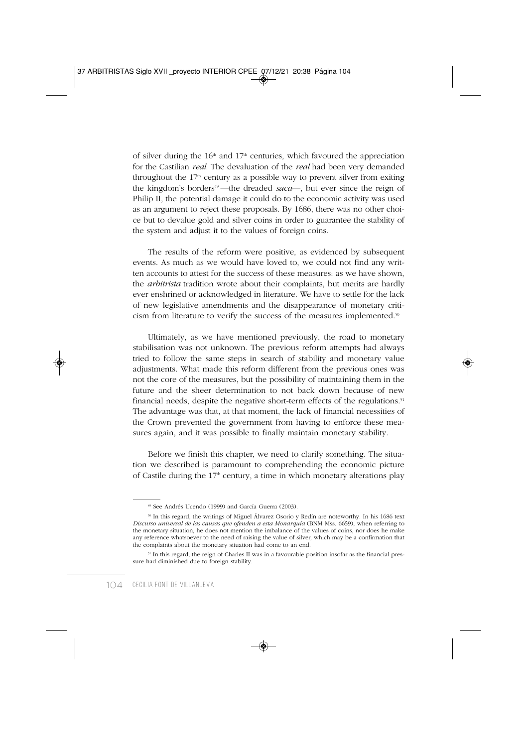of silver during the  $16<sup>th</sup>$  and  $17<sup>th</sup>$  centuries, which favoured the appreciation for the Castilian *real*. The devaluation of the *real* had been very demanded throughout the  $17<sup>th</sup>$  century as a possible way to prevent silver from exiting the kingdom's borders<sup>49</sup>—the dreaded *saca*—, but ever since the reign of Philip II, the potential damage it could do to the economic activity was used as an argument to reject these proposals. By 1686, there was no other choice but to devalue gold and silver coins in order to guarantee the stability of the system and adjust it to the values of foreign coins.

The results of the reform were positive, as evidenced by subsequent events. As much as we would have loved to, we could not find any written accounts to attest for the success of these measures: as we have shown, the *arbitrista* tradition wrote about their complaints, but merits are hardly ever enshrined or acknowledged in literature. We have to settle for the lack of new legislative amendments and the disappearance of monetary criticism from literature to verify the success of the measures implemented.50

Ultimately, as we have mentioned previously, the road to monetary stabilisation was not unknown. The previous reform attempts had always tried to follow the same steps in search of stability and monetary value adjustments. What made this reform different from the previous ones was not the core of the measures, but the possibility of maintaining them in the future and the sheer determination to not back down because of new financial needs, despite the negative short-term effects of the regulations.<sup>51</sup> The advantage was that, at that moment, the lack of financial necessities of the Crown prevented the government from having to enforce these measures again, and it was possible to finally maintain monetary stability.

Before we finish this chapter, we need to clarify something. The situation we described is paramount to comprehending the economic picture of Castile during the  $17<sup>th</sup>$  century, a time in which monetary alterations play

<sup>49</sup> See Andrés Ucendo (1999) and García Guerra (2003).

<sup>50</sup> In this regard, the writings of Miguel Álvarez Osorio y Redín are noteworthy. In his 1686 text *Discurso universal de las causas que ofenden a esta Monarquía* (BNM Mss. 6659), when referring to the monetary situation, he does not mention the imbalance of the values of coins, nor does he make any reference whatsoever to the need of raising the value of silver, which may be a confirmation that the complaints about the monetary situation had come to an end.

<sup>51</sup> In this regard, the reign of Charles II was in a favourable position insofar as the financial pressure had diminished due to foreign stability.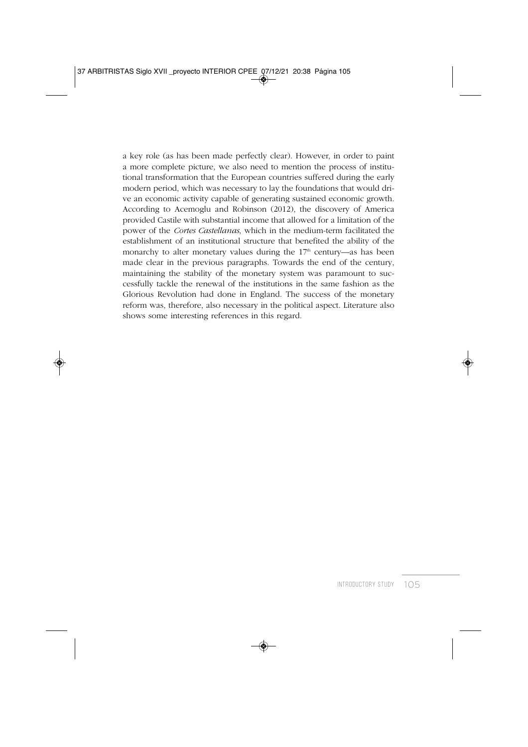a key role (as has been made perfectly clear). However, in order to paint a more complete picture, we also need to mention the process of institutional transformation that the European countries suffered during the early modern period, which was necessary to lay the foundations that would drive an economic activity capable of generating sustained economic growth. According to Acemoglu and Robinson (2012), the discovery of America provided Castile with substantial income that allowed for a limitation of the power of the *Cortes Castellanas*, which in the medium-term facilitated the establishment of an institutional structure that benefited the ability of the monarchy to alter monetary values during the  $17<sup>th</sup>$  century—as has been made clear in the previous paragraphs. Towards the end of the century, maintaining the stability of the monetary system was paramount to successfully tackle the renewal of the institutions in the same fashion as the Glorious Revolution had done in England. The success of the monetary reform was, therefore, also necessary in the political aspect. Literature also shows some interesting references in this regard.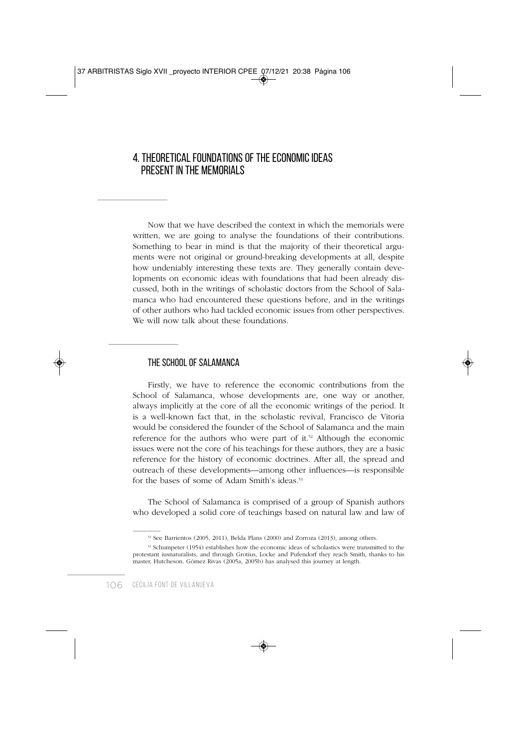### 4. THEORETICAL FOUNDATIONS OF THE ECONOMIC IDEAS PRESENT IN THE MEMORIALS

Now that we have described the context in which the memorials were written, we are going to analyse the foundations of their contributions. Something to bear in mind is that the majority of their theoretical arguments were not original or ground-breaking developments at all, despite how undeniably interesting these texts are. They generally contain developments on economic ideas with foundations that had been already discussed, both in the writings of scholastic doctors from the School of Salamanca who had encountered these questions before, and in the writings of other authors who had tackled economic issues from other perspectives. We will now talk about these foundations.

#### THE SCHOOL OF SALAMANCA

Firstly, we have to reference the economic contributions from the School of Salamanca, whose developments are, one way or another, always implicitly at the core of all the economic writings of the period. It is a well-known fact that, in the scholastic revival, Francisco de Vitoria would be considered the founder of the School of Salamanca and the main reference for the authors who were part of it.<sup>52</sup> Although the economic issues were not the core of his teachings for these authors, they are a basic reference for the history of economic doctrines. After all, the spread and outreach of these developments—among other influences—is responsible for the bases of some of Adam Smith's ideas.<sup>53</sup>

The School of Salamanca is comprised of a group of Spanish authors who developed a solid core of teachings based on natural law and law of

<sup>52</sup> See Barrientos (2005, 2011), Belda Plans (2000) and Zorroza (2013), among others.

<sup>53</sup> Schumpeter (1954) establishes how the economic ideas of scholastics were transmitted to the protestant iusnaturalists, and through Grotius, Locke and Pufendorf they reach Smith, thanks to his master, Hutcheson. Gómez Rivas (2005a, 2005b) has analysed this journey at length.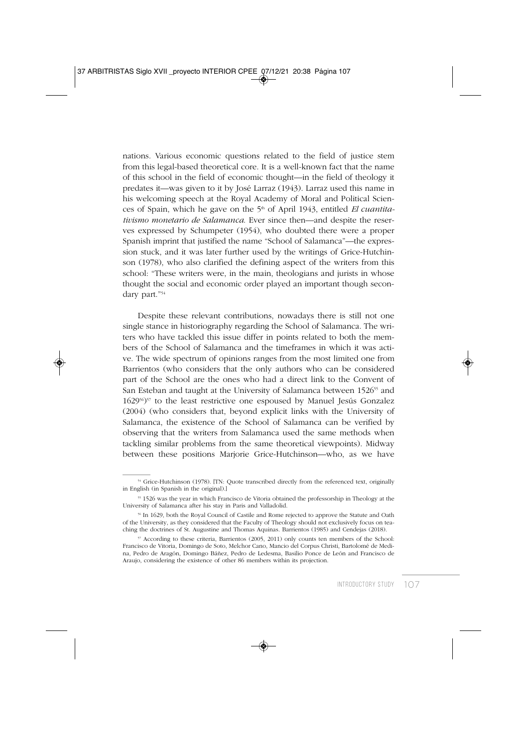nations. Various economic questions related to the field of justice stem from this legal-based theoretical core. It is a well-known fact that the name of this school in the field of economic thought—in the field of theology it predates it—was given to it by José Larraz (1943). Larraz used this name in his welcoming speech at the Royal Academy of Moral and Political Sciences of Spain, which he gave on the 5<sup>th</sup> of April 1943, entitled *El cuantitativismo monetario de Salamanca*. Ever since then—and despite the reserves expressed by Schumpeter (1954), who doubted there were a proper Spanish imprint that justified the name "School of Salamanca"—the expression stuck, and it was later further used by the writings of Grice-Hutchinson (1978), who also clarified the defining aspect of the writers from this school: "These writers were, in the main, theologians and jurists in whose thought the social and economic order played an important though secondary part."54

Despite these relevant contributions, nowadays there is still not one single stance in historiography regarding the School of Salamanca. The writers who have tackled this issue differ in points related to both the members of the School of Salamanca and the timeframes in which it was active. The wide spectrum of opinions ranges from the most limited one from Barrientos (who considers that the only authors who can be considered part of the School are the ones who had a direct link to the Convent of San Esteban and taught at the University of Salamanca between 1526<sup>55</sup> and 162956)57 to the least restrictive one espoused by Manuel Jesús Gonzalez (2004) (who considers that, beyond explicit links with the University of Salamanca, the existence of the School of Salamanca can be verified by observing that the writers from Salamanca used the same methods when tackling similar problems from the same theoretical viewpoints). Midway between these positions Marjorie Grice-Hutchinson—who, as we have

<sup>&</sup>lt;sup>54</sup> Grice-Hutchinson (1978). [TN: Quote transcribed directly from the referenced text, originally in English (in Spanish in the original).]

<sup>55 1526</sup> was the year in which Francisco de Vitoria obtained the professorship in Theology at the University of Salamanca after his stay in Paris and Valladolid.

<sup>56</sup> In 1629, both the Royal Council of Castile and Rome rejected to approve the Statute and Oath of the University, as they considered that the Faculty of Theology should not exclusively focus on teaching the doctrines of St. Augustine and Thomas Aquinas. Barrientos (1985) and Cendejas (2018).

<sup>57</sup> According to these criteria, Barrientos (2005, 2011) only counts ten members of the School: Francisco de Vitoria, Domingo de Soto, Melchor Cano, Mancio del Corpus Christi, Bartolomé de Medina, Pedro de Aragón, Domingo Báñez, Pedro de Ledesma, Basilio Ponce de León and Francisco de Araujo, considering the existence of other 86 members within its projection.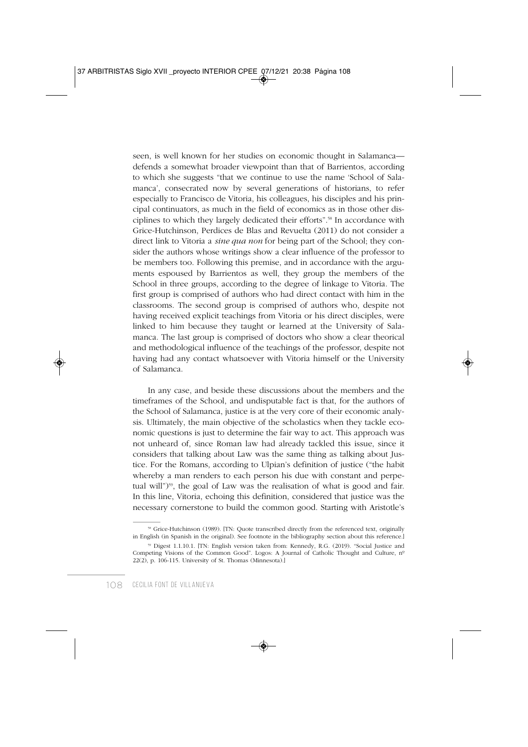seen, is well known for her studies on economic thought in Salamanca defends a somewhat broader viewpoint than that of Barrientos, according to which she suggests "that we continue to use the name 'School of Salamanca', consecrated now by several generations of historians, to refer especially to Francisco de Vitoria, his colleagues, his disciples and his principal continuators, as much in the field of economics as in those other disciplines to which they largely dedicated their efforts".58 In accordance with Grice-Hutchinson, Perdices de Blas and Revuelta (2011) do not consider a direct link to Vitoria a *sine qua non* for being part of the School; they consider the authors whose writings show a clear influence of the professor to be members too. Following this premise, and in accordance with the arguments espoused by Barrientos as well, they group the members of the School in three groups, according to the degree of linkage to Vitoria. The first group is comprised of authors who had direct contact with him in the classrooms. The second group is comprised of authors who, despite not having received explicit teachings from Vitoria or his direct disciples, were linked to him because they taught or learned at the University of Salamanca. The last group is comprised of doctors who show a clear theorical and methodological influence of the teachings of the professor, despite not having had any contact whatsoever with Vitoria himself or the University of Salamanca.

In any case, and beside these discussions about the members and the timeframes of the School, and undisputable fact is that, for the authors of the School of Salamanca, justice is at the very core of their economic analysis. Ultimately, the main objective of the scholastics when they tackle economic questions is just to determine the fair way to act. This approach was not unheard of, since Roman law had already tackled this issue, since it considers that talking about Law was the same thing as talking about Justice. For the Romans, according to Ulpian's definition of justice ("the habit whereby a man renders to each person his due with constant and perpetual will")<sup>59</sup>, the goal of Law was the realisation of what is good and fair. In this line, Vitoria, echoing this definition, considered that justice was the necessary cornerstone to build the common good. Starting with Aristotle's

<sup>58</sup> Grice-Hutchinson (1989). [TN: Quote transcribed directly from the referenced text, originally in English (in Spanish in the original). See footnote in the bibliography section about this reference.]

<sup>59</sup> Digest 1.1.10.1. [TN: English version taken from: Kennedy, R.G. (2019). "Social Justice and Competing Visions of the Common Good". Logos: A Journal of Catholic Thought and Culture, nº 22(2), p. 106-115. University of St. Thomas (Minnesota).]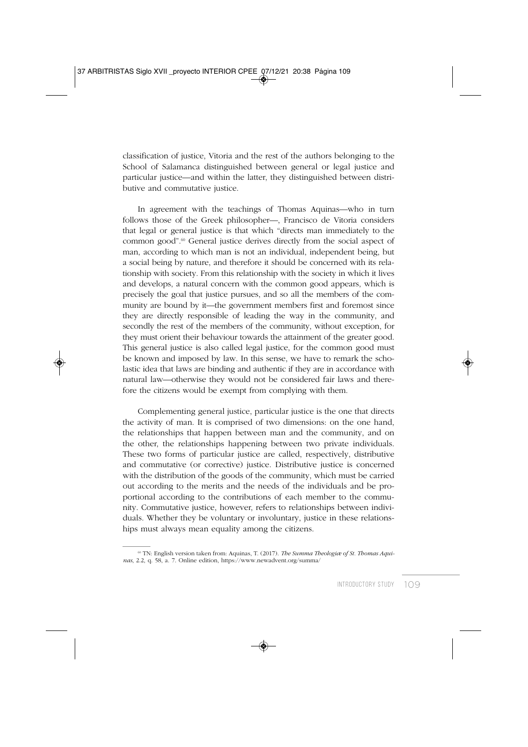classification of justice, Vitoria and the rest of the authors belonging to the School of Salamanca distinguished between general or legal justice and particular justice—and within the latter, they distinguished between distributive and commutative justice.

In agreement with the teachings of Thomas Aquinas—who in turn follows those of the Greek philosopher—, Francisco de Vitoria considers that legal or general justice is that which "directs man immediately to the common good".<sup>60</sup> General justice derives directly from the social aspect of man, according to which man is not an individual, independent being, but a social being by nature, and therefore it should be concerned with its relationship with society. From this relationship with the society in which it lives and develops, a natural concern with the common good appears, which is precisely the goal that justice pursues, and so all the members of the community are bound by it—the government members first and foremost since they are directly responsible of leading the way in the community, and secondly the rest of the members of the community, without exception, for they must orient their behaviour towards the attainment of the greater good. This general justice is also called legal justice, for the common good must be known and imposed by law. In this sense, we have to remark the scholastic idea that laws are binding and authentic if they are in accordance with natural law—otherwise they would not be considered fair laws and therefore the citizens would be exempt from complying with them.

Complementing general justice, particular justice is the one that directs the activity of man. It is comprised of two dimensions: on the one hand, the relationships that happen between man and the community, and on the other, the relationships happening between two private individuals. These two forms of particular justice are called, respectively, distributive and commutative (or corrective) justice. Distributive justice is concerned with the distribution of the goods of the community, which must be carried out according to the merits and the needs of the individuals and be proportional according to the contributions of each member to the community. Commutative justice, however, refers to relationships between individuals. Whether they be voluntary or involuntary, justice in these relationships must always mean equality among the citizens.

<sup>60</sup> TN: English version taken from: Aquinas, T. (2017). *The Summa Theologiæ of St. Thomas Aquinas*, 2.2, q. 58, a. 7. Online edition, https://www.newadvent.org/summa/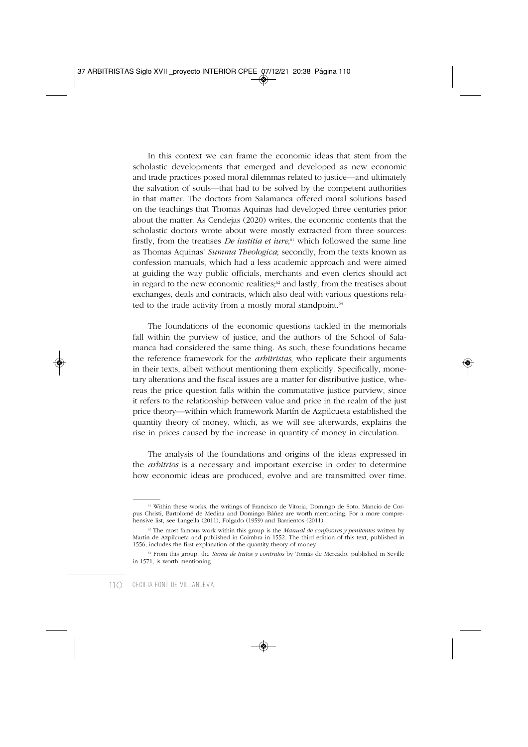In this context we can frame the economic ideas that stem from the scholastic developments that emerged and developed as new economic and trade practices posed moral dilemmas related to justice—and ultimately the salvation of souls—that had to be solved by the competent authorities in that matter. The doctors from Salamanca offered moral solutions based on the teachings that Thomas Aquinas had developed three centuries prior about the matter. As Cendejas (2020) writes, the economic contents that the scholastic doctors wrote about were mostly extracted from three sources: firstly, from the treatises *De iustitia et iure*, <sup>61</sup> which followed the same line as Thomas Aquinas' *Summa Theologica*; secondly, from the texts known as confession manuals, which had a less academic approach and were aimed at guiding the way public officials, merchants and even clerics should act in regard to the new economic realities; $62$  and lastly, from the treatises about exchanges, deals and contracts, which also deal with various questions related to the trade activity from a mostly moral standpoint.<sup>63</sup>

The foundations of the economic questions tackled in the memorials fall within the purview of justice, and the authors of the School of Salamanca had considered the same thing. As such, these foundations became the reference framework for the *arbitristas*, who replicate their arguments in their texts, albeit without mentioning them explicitly. Specifically, monetary alterations and the fiscal issues are a matter for distributive justice, whereas the price question falls within the commutative justice purview, since it refers to the relationship between value and price in the realm of the just price theory—within which framework Martín de Azpilcueta established the quantity theory of money, which, as we will see afterwards, explains the rise in prices caused by the increase in quantity of money in circulation.

The analysis of the foundations and origins of the ideas expressed in the *arbitrios* is a necessary and important exercise in order to determine how economic ideas are produced, evolve and are transmitted over time.

<sup>61</sup> Within these works, the writings of Francisco de Vitoria, Domingo de Soto, Mancio de Corpus Christi, Bartolomé de Medina and Domingo Báñez are worth mentioning. For a more comprehensive list, see Langella (2011), Folgado (1959) and Barrientos (2011).

 $62$  The most famous work within this group is the *Manual de confesores y penitentes* written by Martín de Azpilcueta and published in Coimbra in 1552. The third edition of this text, published in 1556, includes the first explanation of the quantity theory of money.

<sup>&</sup>lt;sup>63</sup> From this group, the *Suma de tratos y contratos* by Tomás de Mercado, published in Seville in 1571, is worth mentioning.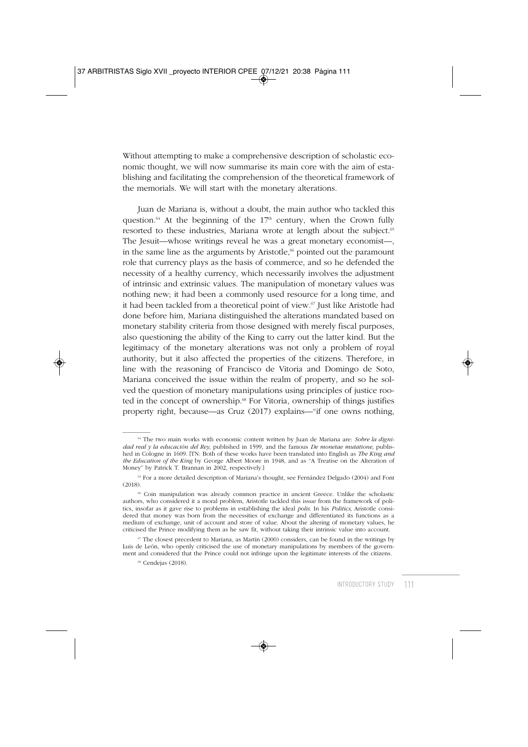Without attempting to make a comprehensive description of scholastic economic thought, we will now summarise its main core with the aim of establishing and facilitating the comprehension of the theoretical framework of the memorials. We will start with the monetary alterations.

Juan de Mariana is, without a doubt, the main author who tackled this question.<sup>64</sup> At the beginning of the  $17<sup>th</sup>$  century, when the Crown fully resorted to these industries, Mariana wrote at length about the subject.<sup>65</sup> The Jesuit—whose writings reveal he was a great monetary economist—, in the same line as the arguments by Aristotle, $\frac{6}{3}$  pointed out the paramount role that currency plays as the basis of commerce, and so he defended the necessity of a healthy currency, which necessarily involves the adjustment of intrinsic and extrinsic values. The manipulation of monetary values was nothing new; it had been a commonly used resource for a long time, and it had been tackled from a theoretical point of view.<sup>67</sup> Just like Aristotle had done before him, Mariana distinguished the alterations mandated based on monetary stability criteria from those designed with merely fiscal purposes, also questioning the ability of the King to carry out the latter kind. But the legitimacy of the monetary alterations was not only a problem of royal authority, but it also affected the properties of the citizens. Therefore, in line with the reasoning of Francisco de Vitoria and Domingo de Soto, Mariana conceived the issue within the realm of property, and so he solved the question of monetary manipulations using principles of justice rooted in the concept of ownership.<sup>68</sup> For Vitoria, ownership of things justifies property right, because—as Cruz (2017) explains—"if one owns nothing,

<sup>64</sup> The two main works with economic content written by Juan de Mariana are: *Sobre la dignidad real y la educación del Rey*, published in 1599, and the famous *De monetae mutatione*, published in Cologne in 1609. [TN: Both of these works have been translated into English as *The King and the Education of the King* by George Albert Moore in 1948, and as "A Treatise on the Alteration of Money" by Patrick T. Brannan in 2002, respectively.]

<sup>65</sup> For a more detailed description of Mariana's thought, see Fernández Delgado (2004) and Font (2018).

<sup>66</sup> Coin manipulation was already common practice in ancient Greece. Unlike the scholastic authors, who considered it a moral problem, Aristotle tackled this issue from the framework of politics, insofar as it gave rise to problems in establishing the ideal *polis*. In his *Politics*, Aristotle considered that money was born from the necessities of exchange and differentiated its functions as a medium of exchange, unit of account and store of value. About the altering of monetary values, he criticised the Prince modifying them as he saw fit, without taking their intrinsic value into account.

 $67$  The closest precedent to Mariana, as Martín (2000) considers, can be found in the writings by Luis de León, who openly criticised the use of monetary manipulations by members of the government and considered that the Prince could not infringe upon the legitimate interests of the citizens.

<sup>68</sup> Cendejas (2018).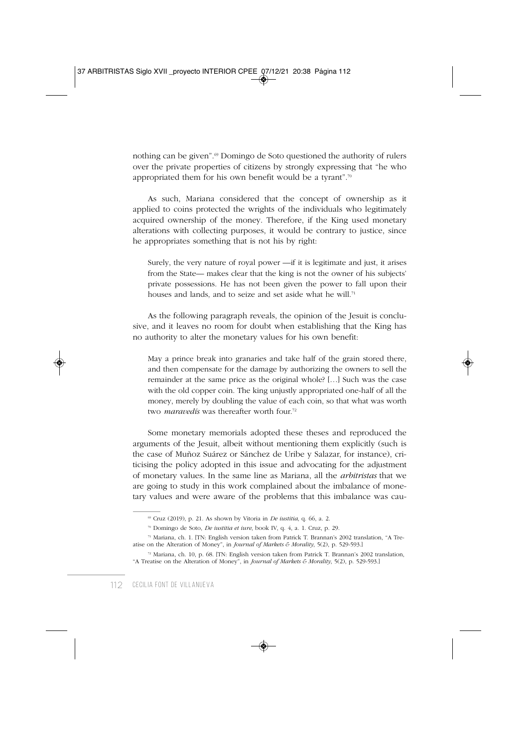nothing can be given".<sup>69</sup> Domingo de Soto questioned the authority of rulers over the private properties of citizens by strongly expressing that "he who appropriated them for his own benefit would be a tyrant".70

As such, Mariana considered that the concept of ownership as it applied to coins protected the wrights of the individuals who legitimately acquired ownership of the money. Therefore, if the King used monetary alterations with collecting purposes, it would be contrary to justice, since he appropriates something that is not his by right:

Surely, the very nature of royal power —if it is legitimate and just, it arises from the State— makes clear that the king is not the owner of his subjects' private possessions. He has not been given the power to fall upon their houses and lands, and to seize and set aside what he will.<sup>71</sup>

As the following paragraph reveals, the opinion of the Jesuit is conclusive, and it leaves no room for doubt when establishing that the King has no authority to alter the monetary values for his own benefit:

May a prince break into granaries and take half of the grain stored there, and then compensate for the damage by authorizing the owners to sell the remainder at the same price as the original whole? […] Such was the case with the old copper coin. The king unjustly appropriated one-half of all the money, merely by doubling the value of each coin, so that what was worth two *maravedís* was thereafter worth four<sup>72</sup>

Some monetary memorials adopted these theses and reproduced the arguments of the Jesuit, albeit without mentioning them explicitly (such is the case of Muñoz Suárez or Sánchez de Uribe y Salazar, for instance), criticising the policy adopted in this issue and advocating for the adjustment of monetary values. In the same line as Mariana, all the *arbitristas* that we are going to study in this work complained about the imbalance of monetary values and were aware of the problems that this imbalance was cau-

<sup>69</sup> Cruz (2019), p. 21. As shown by Vitoria in *De iustitia*, q. 66, a. 2.

<sup>70</sup> Domingo de Soto, *De iustitia et iure*, book IV, q. 4, a. 1. Cruz, p. 29.

<sup>71</sup> Mariana, ch. 1. [TN: English version taken from Patrick T. Brannan's 2002 translation, "A Treatise on the Alteration of Money", in *Journal of Markets & Morality*, 5(2), p. 529-593.]

<sup>72</sup> Mariana, ch. 10, p. 68. [TN: English version taken from Patrick T. Brannan's 2002 translation, "A Treatise on the Alteration of Money", in *Journal of Markets & Morality*, 5(2), p. 529-593.]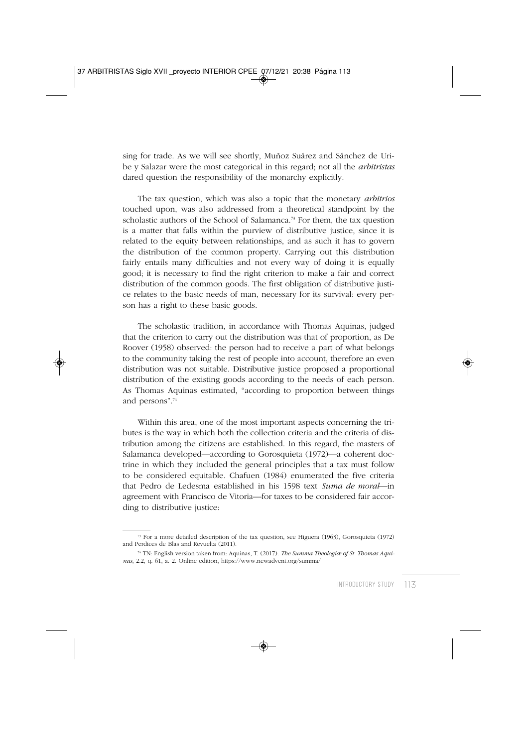sing for trade. As we will see shortly, Muñoz Suárez and Sánchez de Uribe y Salazar were the most categorical in this regard; not all the *arbitristas* dared question the responsibility of the monarchy explicitly.

The tax question, which was also a topic that the monetary *arbitrios* touched upon, was also addressed from a theoretical standpoint by the scholastic authors of the School of Salamanca.<sup>73</sup> For them, the tax question is a matter that falls within the purview of distributive justice, since it is related to the equity between relationships, and as such it has to govern the distribution of the common property. Carrying out this distribution fairly entails many difficulties and not every way of doing it is equally good; it is necessary to find the right criterion to make a fair and correct distribution of the common goods. The first obligation of distributive justice relates to the basic needs of man, necessary for its survival: every person has a right to these basic goods.

The scholastic tradition, in accordance with Thomas Aquinas, judged that the criterion to carry out the distribution was that of proportion, as De Roover (1958) observed: the person had to receive a part of what belongs to the community taking the rest of people into account, therefore an even distribution was not suitable. Distributive justice proposed a proportional distribution of the existing goods according to the needs of each person. As Thomas Aquinas estimated, "according to proportion between things and persons".74

Within this area, one of the most important aspects concerning the tributes is the way in which both the collection criteria and the criteria of distribution among the citizens are established. In this regard, the masters of Salamanca developed—according to Gorosquieta (1972)—a coherent doctrine in which they included the general principles that a tax must follow to be considered equitable. Chafuen (1984) enumerated the five criteria that Pedro de Ledesma established in his 1598 text *Suma de moral*—in agreement with Francisco de Vitoria—for taxes to be considered fair according to distributive justice:

<sup>73</sup> For a more detailed description of the tax question, see Higuera (1963), Gorosquieta (1972) and Perdices de Blas and Revuelta (2011).

<sup>74</sup> TN: English version taken from: Aquinas, T. (2017). *The Summa Theologiæ of St. Thomas Aquinas*, 2.2, q. 61, a. 2. Online edition, https://www.newadvent.org/summa/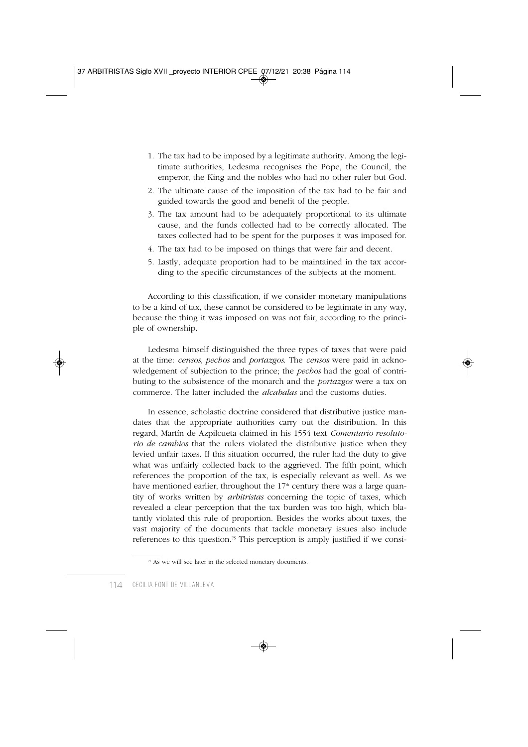- 1. The tax had to be imposed by a legitimate authority. Among the legitimate authorities, Ledesma recognises the Pope, the Council, the emperor, the King and the nobles who had no other ruler but God.
- 2. The ultimate cause of the imposition of the tax had to be fair and guided towards the good and benefit of the people.
- 3. The tax amount had to be adequately proportional to its ultimate cause, and the funds collected had to be correctly allocated. The taxes collected had to be spent for the purposes it was imposed for.
- 4. The tax had to be imposed on things that were fair and decent.
- 5. Lastly, adequate proportion had to be maintained in the tax according to the specific circumstances of the subjects at the moment.

According to this classification, if we consider monetary manipulations to be a kind of tax, these cannot be considered to be legitimate in any way, because the thing it was imposed on was not fair, according to the principle of ownership.

Ledesma himself distinguished the three types of taxes that were paid at the time: *censos, pechos* and *portazgos*. The *censos* were paid in acknowledgement of subjection to the prince; the *pechos* had the goal of contributing to the subsistence of the monarch and the *portazgos* were a tax on commerce. The latter included the *alcabalas* and the customs duties.

In essence, scholastic doctrine considered that distributive justice mandates that the appropriate authorities carry out the distribution. In this regard, Martín de Azpilcueta claimed in his 1554 text *Comentario resolutorio de cambios* that the rulers violated the distributive justice when they levied unfair taxes. If this situation occurred, the ruler had the duty to give what was unfairly collected back to the aggrieved. The fifth point, which references the proportion of the tax, is especially relevant as well. As we have mentioned earlier, throughout the 17<sup>th</sup> century there was a large quantity of works written by *arbitristas* concerning the topic of taxes, which revealed a clear perception that the tax burden was too high, which blatantly violated this rule of proportion. Besides the works about taxes, the vast majority of the documents that tackle monetary issues also include references to this question.<sup>75</sup> This perception is amply justified if we consi-

<sup>75</sup> As we will see later in the selected monetary documents.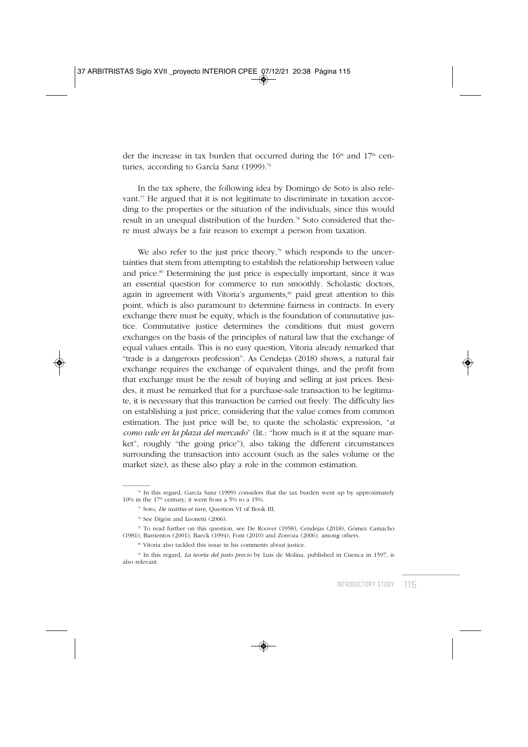der the increase in tax burden that occurred during the  $16<sup>th</sup>$  and  $17<sup>th</sup>$  centuries, according to García Sanz (1999).<sup>76</sup>

In the tax sphere, the following idea by Domingo de Soto is also relevant.<sup> $7$ </sup> He argued that it is not legitimate to discriminate in taxation according to the properties or the situation of the individuals, since this would result in an unequal distribution of the burden.78 Soto considered that there must always be a fair reason to exempt a person from taxation.

We also refer to the just price theory,<sup>79</sup> which responds to the uncertainties that stem from attempting to establish the relationship between value and price.<sup>80</sup> Determining the just price is especially important, since it was an essential question for commerce to run smoothly. Scholastic doctors, again in agreement with Vitoria's arguments,<sup>81</sup> paid great attention to this point, which is also paramount to determine fairness in contracts. In every exchange there must be equity, which is the foundation of commutative justice. Commutative justice determines the conditions that must govern exchanges on the basis of the principles of natural law that the exchange of equal values entails. This is no easy question, Vitoria already remarked that "trade is a dangerous profession". As Cendejas (2018) shows, a natural fair exchange requires the exchange of equivalent things, and the profit from that exchange must be the result of buying and selling at just prices. Besides, it must be remarked that for a purchase-sale transaction to be legitimate, it is necessary that this transaction be carried out freely. The difficulty lies on establishing a just price, considering that the value comes from common estimation. The just price will be, to quote the scholastic expression, "*a como vale en la plaza del mercado*" (lit.: "how much is it at the square market", roughly "the going price"), also taking the different circumstances surrounding the transaction into account (such as the sales volume or the market size), as these also play a role in the common estimation.

 $\frac{1}{6}$  In this regard, García Sanz (1999) considers that the tax burden went up by approximately 10% in the  $17<sup>th</sup>$  century; it went from a 5% to a 15%.

<sup>77</sup> Soto, *De iustitia et iure*, Question VI of Book III.

<sup>78</sup> See Digón and Leonetti (2006).

<sup>79</sup> To read further on this question, see De Roover (1958), Cendejas (2018), Gómez Camacho (1981), Barrientos (2001), Baeck (1994), Font (2010) and Zorroza (2006), among others.

<sup>80</sup> Vitoria also tackled this issue in his comments about justice.

<sup>81</sup> In this regard, *La teoría del justo precio* by Luis de Molina, published in Cuenca in 1597, is also relevant.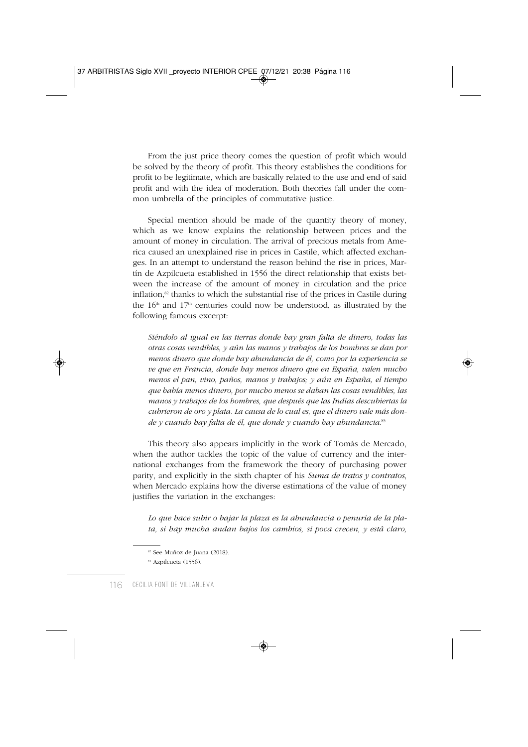From the just price theory comes the question of profit which would be solved by the theory of profit. This theory establishes the conditions for profit to be legitimate, which are basically related to the use and end of said profit and with the idea of moderation. Both theories fall under the common umbrella of the principles of commutative justice.

Special mention should be made of the quantity theory of money, which as we know explains the relationship between prices and the amount of money in circulation. The arrival of precious metals from America caused an unexplained rise in prices in Castile, which affected exchanges. In an attempt to understand the reason behind the rise in prices, Martín de Azpilcueta established in 1556 the direct relationship that exists between the increase of the amount of money in circulation and the price inflation, $82$  thanks to which the substantial rise of the prices in Castile during the  $16<sup>th</sup>$  and  $17<sup>th</sup>$  centuries could now be understood, as illustrated by the following famous excerpt:

*Siéndolo al igual en las tierras donde hay gran falta de dinero, todas las otras cosas vendibles, y aún las manos y trabajos de los hombres se dan por menos dinero que donde hay abundancia de él, como por la experiencia se ve que en Francia, donde hay menos dinero que en España, valen mucho menos el pan, vino, paños, manos y trabajos; y aún en España, el tiempo que había menos dinero, por mucho menos se daban las cosas vendibles, las manos y trabajos de los hombres, que después que las Indias descubiertas la cubrieron de oro y plata. La causa de lo cual es, que el dinero vale más donde y cuando hay falta de él, que donde y cuando hay abundancia*. 83

This theory also appears implicitly in the work of Tomás de Mercado, when the author tackles the topic of the value of currency and the international exchanges from the framework the theory of purchasing power parity, and explicitly in the sixth chapter of his *Suma de tratos y contratos*, when Mercado explains how the diverse estimations of the value of money justifies the variation in the exchanges:

*Lo que hace subir o bajar la plaza es la abundancia o penuria de la plata, si hay mucha andan bajos los cambios, si poca crecen, y está claro,*

<sup>82</sup> See Muñoz de Juana (2018).

<sup>83</sup> Azpilcueta (1556).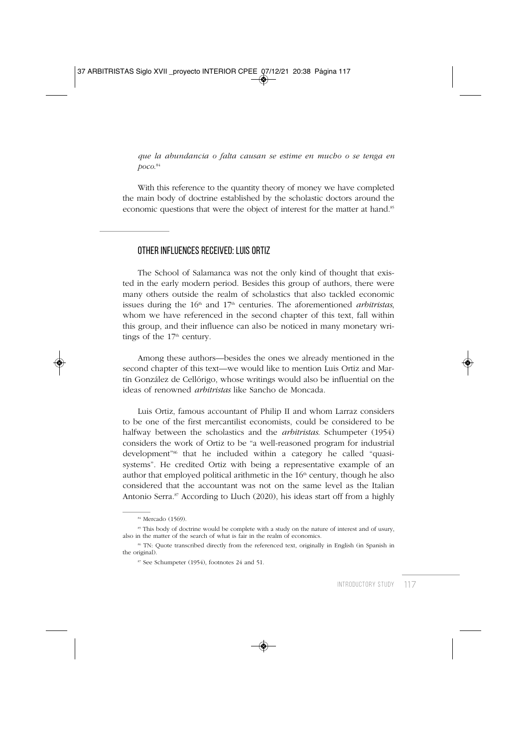*que la abundancia o falta causan se estime en mucho o se tenga en poco*. 84

With this reference to the quantity theory of money we have completed the main body of doctrine established by the scholastic doctors around the economic questions that were the object of interest for the matter at hand.<sup>85</sup>

#### OTHER INFLUENCES RECEIVED: LUIS ORTIZ

The School of Salamanca was not the only kind of thought that existed in the early modern period. Besides this group of authors, there were many others outside the realm of scholastics that also tackled economic issues during the  $16<sup>th</sup>$  and  $17<sup>th</sup>$  centuries. The aforementioned *arbitristas*, whom we have referenced in the second chapter of this text, fall within this group, and their influence can also be noticed in many monetary writings of the  $17<sup>th</sup>$  century.

Among these authors—besides the ones we already mentioned in the second chapter of this text—we would like to mention Luis Ortiz and Martín González de Cellórigo, whose writings would also be influential on the ideas of renowned *arbitristas* like Sancho de Moncada.

Luis Ortiz, famous accountant of Philip II and whom Larraz considers to be one of the first mercantilist economists, could be considered to be halfway between the scholastics and the *arbitristas*. Schumpeter (1954) considers the work of Ortiz to be "a well-reasoned program for industrial development"<sup>86</sup> that he included within a category he called "quasisystems". He credited Ortiz with being a representative example of an author that employed political arithmetic in the  $16<sup>th</sup>$  century, though he also considered that the accountant was not on the same level as the Italian Antonio Serra.<sup>87</sup> According to Lluch (2020), his ideas start off from a highly

<sup>&</sup>lt;sup>84</sup> Mercado (1569).

<sup>&</sup>lt;sup>85</sup> This body of doctrine would be complete with a study on the nature of interest and of usury, also in the matter of the search of what is fair in the realm of economics.

<sup>86</sup> TN: Quote transcribed directly from the referenced text, originally in English (in Spanish in the original).

<sup>87</sup> See Schumpeter (1954), footnotes 24 and 51.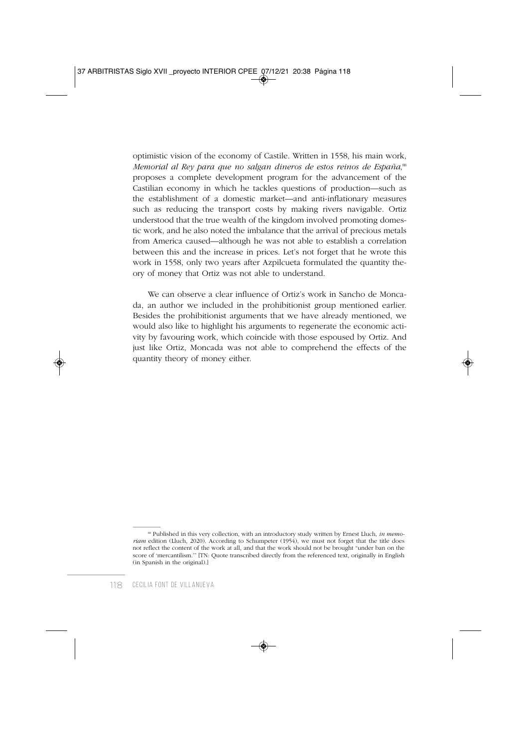optimistic vision of the economy of Castile. Written in 1558, his main work, *Memorial al Rey para que no salgan dineros de estos reinos de España*, 88 proposes a complete development program for the advancement of the Castilian economy in which he tackles questions of production—such as the establishment of a domestic market—and anti-inflationary measures such as reducing the transport costs by making rivers navigable. Ortiz understood that the true wealth of the kingdom involved promoting domestic work, and he also noted the imbalance that the arrival of precious metals from America caused—although he was not able to establish a correlation between this and the increase in prices. Let's not forget that he wrote this work in 1558, only two years after Azpilcueta formulated the quantity theory of money that Ortiz was not able to understand.

We can observe a clear influence of Ortiz's work in Sancho de Moncada, an author we included in the prohibitionist group mentioned earlier. Besides the prohibitionist arguments that we have already mentioned, we would also like to highlight his arguments to regenerate the economic activity by favouring work, which coincide with those espoused by Ortiz. And just like Ortiz, Moncada was not able to comprehend the effects of the quantity theory of money either.

<sup>88</sup> Published in this very collection, with an introductory study written by Ernest Lluch, *in memoriam* edition (Lluch, 2020). According to Schumpeter (1954), we must not forget that the title does not reflect the content of the work at all, and that the work should not be brought "under ban on the score of 'mercantilism.'" [TN: Quote transcribed directly from the referenced text, originally in English (in Spanish in the original).]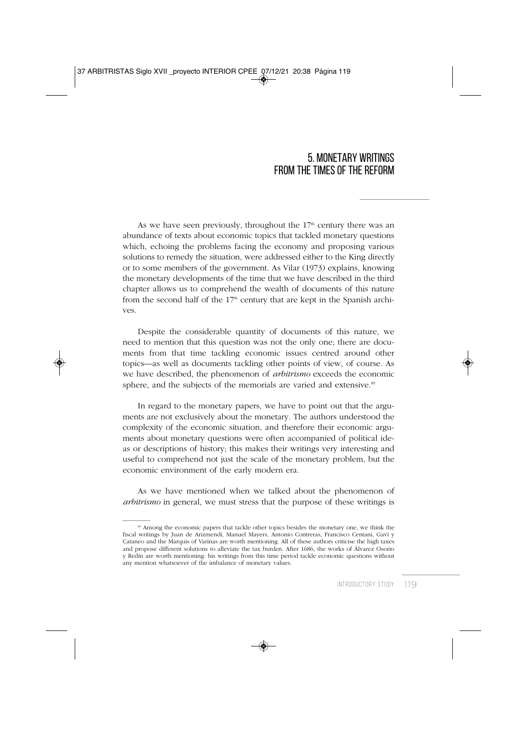### 5. MONETARY WRITINGS FROM THE TIMES OF THE REFORM

As we have seen previously, throughout the  $17<sup>th</sup>$  century there was an abundance of texts about economic topics that tackled monetary questions which, echoing the problems facing the economy and proposing various solutions to remedy the situation, were addressed either to the King directly or to some members of the government. As Vilar (1973) explains, knowing the monetary developments of the time that we have described in the third chapter allows us to comprehend the wealth of documents of this nature from the second half of the  $17<sup>th</sup>$  century that are kept in the Spanish archives.

Despite the considerable quantity of documents of this nature, we need to mention that this question was not the only one; there are documents from that time tackling economic issues centred around other topics—as well as documents tackling other points of view, of course. As we have described, the phenomenon of *arbitrismo* exceeds the economic sphere, and the subjects of the memorials are varied and extensive.<sup>89</sup>

In regard to the monetary papers, we have to point out that the arguments are not exclusively about the monetary. The authors understood the complexity of the economic situation, and therefore their economic arguments about monetary questions were often accompanied of political ideas or descriptions of history; this makes their writings very interesting and useful to comprehend not just the scale of the monetary problem, but the economic environment of the early modern era.

As we have mentioned when we talked about the phenomenon of *arbitrismo* in general, we must stress that the purpose of these writings is

<sup>&</sup>lt;sup>89</sup> Among the economic papers that tackle other topics besides the monetary one, we think the fiscal writings by Juan de Arizmendi, Manuel Mayers, Antonio Contreras, Francisco Centani, Gaví y Cataneo and the Marquis of Varinas are worth mentioning. All of these authors criticise the high taxes and propose different solutions to alleviate the tax burden. After 1686, the works of Álvarez Osorio y Redín are worth mentioning: his writings from this time period tackle economic questions without any mention whatsoever of the imbalance of monetary values.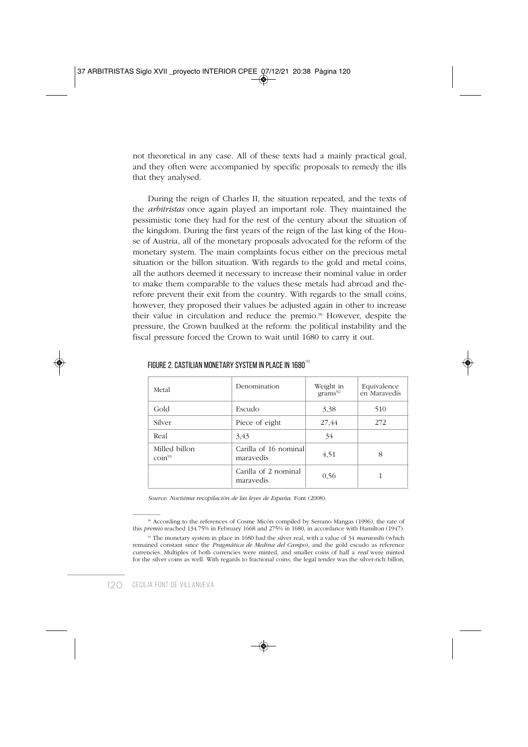not theoretical in any case. All of these texts had a mainly practical goal, and they often were accompanied by specific proposals to remedy the ills that they analysed.

During the reign of Charles II, the situation repeated, and the texts of the *arbitristas* once again played an important role. They maintained the pessimistic tone they had for the rest of the century about the situation of the kingdom. During the first years of the reign of the last king of the House of Austria, all of the monetary proposals advocated for the reform of the monetary system. The main complaints focus either on the precious metal situation or the billon situation. With regards to the gold and metal coins, all the authors deemed it necessary to increase their nominal value in order to make them comparable to the values these metals had abroad and therefore prevent their exit from the country. With regards to the small coins, however, they proposed their values be adjusted again in other to increase their value in circulation and reduce the premio.<sup>90</sup> However, despite the pressure, the Crown baulked at the reform: the political instability and the fiscal pressure forced the Crown to wait until 1680 to carry it out.

| Metal                               | Denomination                       | Weight in<br>$grams^{92}$ | Equivalence<br>en Maravedís |
|-------------------------------------|------------------------------------|---------------------------|-----------------------------|
| Gold                                | Escudo                             | 3,38                      | 510                         |
| Silver                              | Piece of eight                     | 27,44                     | 272                         |
| Real                                | 3.43                               | 34                        |                             |
| Milled billon<br>$\text{coin}^{93}$ | Carilla of 16 nominal<br>maravedís | 4,51                      | 8                           |
|                                     | Carilla of 2 nominal<br>maravedís  | 0.56                      |                             |

FIGURE 2. CASTILIAN MONETARY SYSTEM IN PLACE IN 1680 $^{91}$ 

*Source*: *Novísima recopilación de las leyes de España*. Font (2008).

<sup>90</sup> According to the references of Cosme Micón compiled by Serrano Mangas (1996), the rate of this *premio* reached 134.75% in February 1668 and 275% in 1680, in accordance with Hamilton (1947).

<sup>91</sup> The monetary system in place in 1680 had the silver real, with a value of 34 *maravedís* (which remained constant since the *Pragmática de Medina del Campo*), and the gold escudo as reference currencies. Multiples of both currencies were minted, and smaller coins of half a *real* were minted for the silver coins as well. With regards to fractional coins, the legal tender was the silver-rich billon,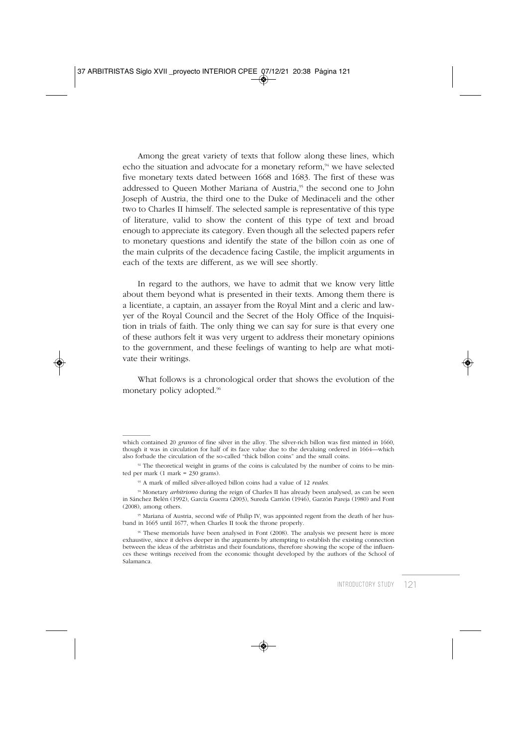Among the great variety of texts that follow along these lines, which echo the situation and advocate for a monetary reform,<sup>94</sup> we have selected five monetary texts dated between 1668 and 1683. The first of these was addressed to Queen Mother Mariana of Austria,95 the second one to John Joseph of Austria, the third one to the Duke of Medinaceli and the other two to Charles II himself. The selected sample is representative of this type of literature, valid to show the content of this type of text and broad enough to appreciate its category. Even though all the selected papers refer to monetary questions and identify the state of the billon coin as one of the main culprits of the decadence facing Castile, the implicit arguments in each of the texts are different, as we will see shortly.

In regard to the authors, we have to admit that we know very little about them beyond what is presented in their texts. Among them there is a licentiate, a captain, an assayer from the Royal Mint and a cleric and lawyer of the Royal Council and the Secret of the Holy Office of the Inquisition in trials of faith. The only thing we can say for sure is that every one of these authors felt it was very urgent to address their monetary opinions to the government, and these feelings of wanting to help are what motivate their writings.

What follows is a chronological order that shows the evolution of the monetary policy adopted.<sup>96</sup>

which contained 20 *granos* of fine silver in the alloy. The silver-rich billon was first minted in 1660, though it was in circulation for half of its face value due to the devaluing ordered in 1664—which also forbade the circulation of the so-called "thick billon coins" and the small coins.

 $92$ <sup>92</sup> The theoretical weight in grams of the coins is calculated by the number of coins to be minted per mark  $(1 \text{ mark} = 230 \text{ grams})$ .

<sup>93</sup> A mark of milled silver-alloyed billon coins had a value of 12 *reales*.

<sup>94</sup> Monetary *arbitrismo* during the reign of Charles II has already been analysed, as can be seen in Sánchez Belén (1992), García Guerra (2003), Sureda Carrión (1946), Garzón Pareja (1980) and Font (2008), among others.

<sup>95</sup> Mariana of Austria, second wife of Philip IV, was appointed regent from the death of her husband in 1665 until 1677, when Charles II took the throne properly.

<sup>96</sup> These memorials have been analysed in Font (2008). The analysis we present here is more exhaustive, since it delves deeper in the arguments by attempting to establish the existing connection between the ideas of the arbitristas and their foundations, therefore showing the scope of the influences these writings received from the economic thought developed by the authors of the School of Salamanca.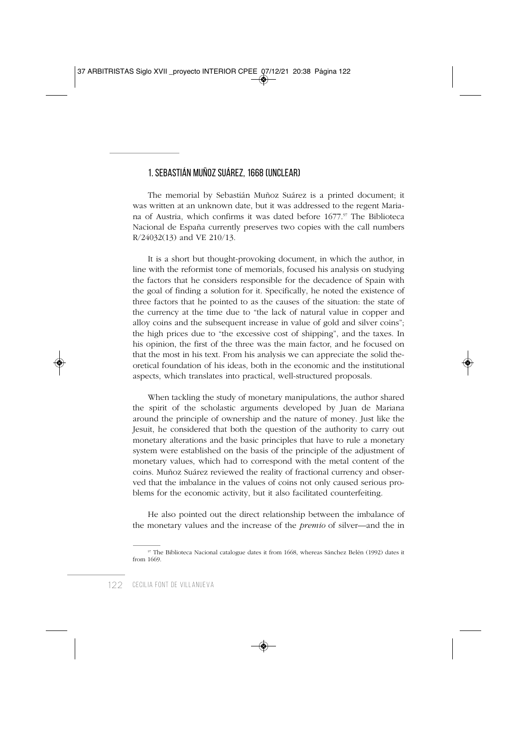### 1. SEBASTIÁN MUÑOZ SUÁREZ, 1668 (UNCLEAR)

The memorial by Sebastián Muñoz Suárez is a printed document; it was written at an unknown date, but it was addressed to the regent Mariana of Austria, which confirms it was dated before 1677.97 The Biblioteca Nacional de España currently preserves two copies with the call numbers R/24032(13) and VE 210/13.

It is a short but thought-provoking document, in which the author, in line with the reformist tone of memorials, focused his analysis on studying the factors that he considers responsible for the decadence of Spain with the goal of finding a solution for it. Specifically, he noted the existence of three factors that he pointed to as the causes of the situation: the state of the currency at the time due to "the lack of natural value in copper and alloy coins and the subsequent increase in value of gold and silver coins"; the high prices due to "the excessive cost of shipping", and the taxes. In his opinion, the first of the three was the main factor, and he focused on that the most in his text. From his analysis we can appreciate the solid theoretical foundation of his ideas, both in the economic and the institutional aspects, which translates into practical, well-structured proposals.

When tackling the study of monetary manipulations, the author shared the spirit of the scholastic arguments developed by Juan de Mariana around the principle of ownership and the nature of money. Just like the Jesuit, he considered that both the question of the authority to carry out monetary alterations and the basic principles that have to rule a monetary system were established on the basis of the principle of the adjustment of monetary values, which had to correspond with the metal content of the coins. Muñoz Suárez reviewed the reality of fractional currency and observed that the imbalance in the values of coins not only caused serious problems for the economic activity, but it also facilitated counterfeiting.

He also pointed out the direct relationship between the imbalance of the monetary values and the increase of the *premio* of silver—and the in

<sup>97</sup> The Biblioteca Nacional catalogue dates it from 1668, whereas Sánchez Belén (1992) dates it from 1669.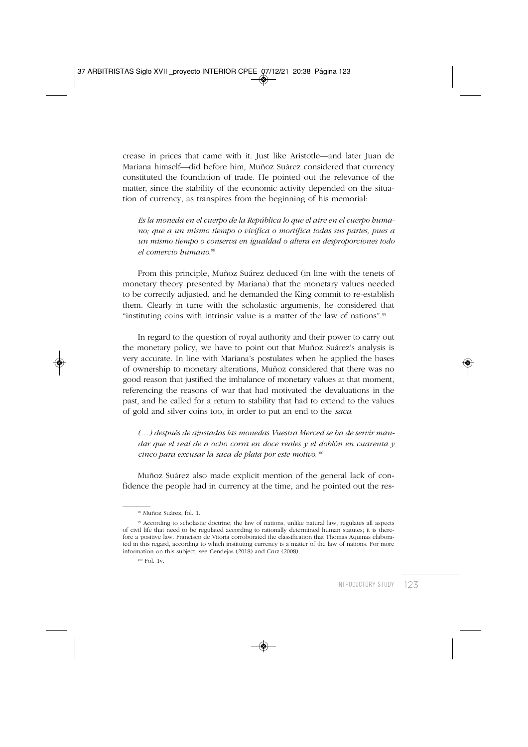crease in prices that came with it. Just like Aristotle—and later Juan de Mariana himself—did before him, Muñoz Suárez considered that currency constituted the foundation of trade. He pointed out the relevance of the matter, since the stability of the economic activity depended on the situation of currency, as transpires from the beginning of his memorial:

*Es la moneda en el cuerpo de la República lo que el aire en el cuerpo humano; que a un mismo tiempo o vivifica o mortifica todas sus partes, pues a un mismo tiempo o conserva en igualdad o altera en desproporciones todo el comercio humano*. 98

From this principle, Muñoz Suárez deduced (in line with the tenets of monetary theory presented by Mariana) that the monetary values needed to be correctly adjusted, and he demanded the King commit to re-establish them. Clearly in tune with the scholastic arguments, he considered that "instituting coins with intrinsic value is a matter of the law of nations".99

In regard to the question of royal authority and their power to carry out the monetary policy, we have to point out that Muñoz Suárez's analysis is very accurate. In line with Mariana's postulates when he applied the bases of ownership to monetary alterations, Muñoz considered that there was no good reason that justified the imbalance of monetary values at that moment, referencing the reasons of war that had motivated the devaluations in the past, and he called for a return to stability that had to extend to the values of gold and silver coins too, in order to put an end to the *saca*:

*(…) después de ajustadas las monedas Vuestra Merced se ha de servir mandar que el real de a ocho corra en doce reales y el doblón en cuarenta y cinco para excusar la saca de plata por este motivo*. 100

Muñoz Suárez also made explicit mention of the general lack of confidence the people had in currency at the time, and he pointed out the res-

100 Fol. 1v.

<sup>98</sup> Muñoz Suárez, fol. 1.

<sup>99</sup> According to scholastic doctrine, the law of nations, unlike natural law, regulates all aspects of civil life that need to be regulated according to rationally determined human statutes; it is therefore a positive law. Francisco de Vitoria corroborated the classification that Thomas Aquinas elaborated in this regard, according to which instituting currency is a matter of the law of nations. For more information on this subject, see Cendejas (2018) and Cruz (2008).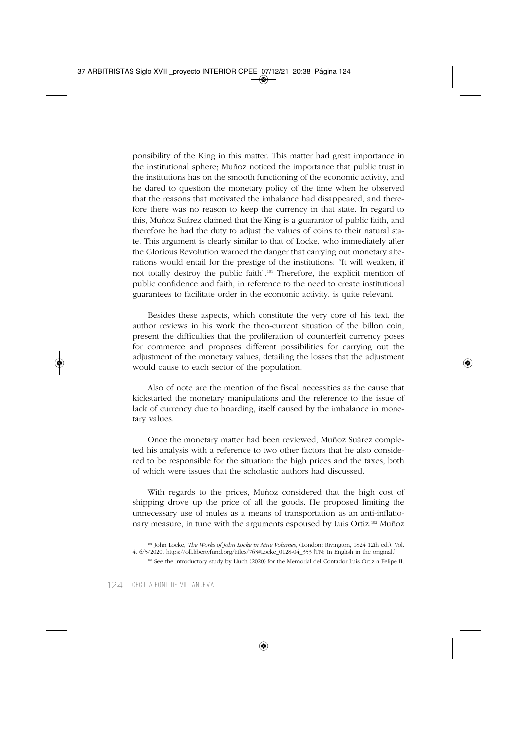ponsibility of the King in this matter. This matter had great importance in the institutional sphere; Muñoz noticed the importance that public trust in the institutions has on the smooth functioning of the economic activity, and he dared to question the monetary policy of the time when he observed that the reasons that motivated the imbalance had disappeared, and therefore there was no reason to keep the currency in that state. In regard to this, Muñoz Suárez claimed that the King is a guarantor of public faith, and therefore he had the duty to adjust the values of coins to their natural state. This argument is clearly similar to that of Locke, who immediately after the Glorious Revolution warned the danger that carrying out monetary alterations would entail for the prestige of the institutions: "It will weaken, if not totally destroy the public faith".101 Therefore, the explicit mention of public confidence and faith, in reference to the need to create institutional guarantees to facilitate order in the economic activity, is quite relevant.

Besides these aspects, which constitute the very core of his text, the author reviews in his work the then-current situation of the billon coin, present the difficulties that the proliferation of counterfeit currency poses for commerce and proposes different possibilities for carrying out the adjustment of the monetary values, detailing the losses that the adjustment would cause to each sector of the population.

Also of note are the mention of the fiscal necessities as the cause that kickstarted the monetary manipulations and the reference to the issue of lack of currency due to hoarding, itself caused by the imbalance in monetary values.

Once the monetary matter had been reviewed, Muñoz Suárez completed his analysis with a reference to two other factors that he also considered to be responsible for the situation: the high prices and the taxes, both of which were issues that the scholastic authors had discussed.

With regards to the prices, Muñoz considered that the high cost of shipping drove up the price of all the goods. He proposed limiting the unnecessary use of mules as a means of transportation as an anti-inflationary measure, in tune with the arguments espoused by Luis Ortiz.102 Muñoz

<sup>101</sup> John Locke, *The Works of John Locke in Nine Volumes*, (London: Rivington, 1824 12th ed.). Vol. 4. 6/5/2020. https://oll.libertyfund.org/titles/763#Locke\_0128-04\_353 [TN: In English in the original.]

<sup>102</sup> See the introductory study by Lluch (2020) for the Memorial del Contador Luis Ortiz a Felipe II.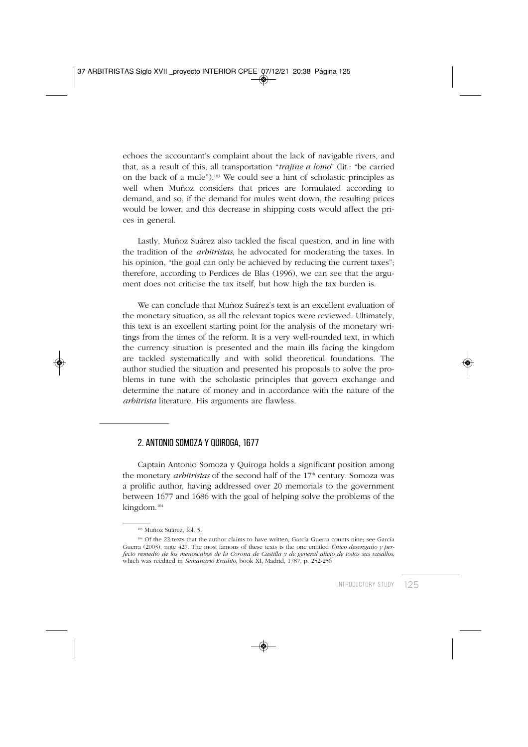echoes the accountant's complaint about the lack of navigable rivers, and that, as a result of this, all transportation "*trajine a lomo*" (lit.: "be carried on the back of a mule").103 We could see a hint of scholastic principles as well when Muñoz considers that prices are formulated according to demand, and so, if the demand for mules went down, the resulting prices would be lower, and this decrease in shipping costs would affect the prices in general.

Lastly, Muñoz Suárez also tackled the fiscal question, and in line with the tradition of the *arbitristas*, he advocated for moderating the taxes. In his opinion, "the goal can only be achieved by reducing the current taxes"; therefore, according to Perdices de Blas (1996), we can see that the argument does not criticise the tax itself, but how high the tax burden is.

We can conclude that Muñoz Suárez's text is an excellent evaluation of the monetary situation, as all the relevant topics were reviewed. Ultimately, this text is an excellent starting point for the analysis of the monetary writings from the times of the reform. It is a very well-rounded text, in which the currency situation is presented and the main ills facing the kingdom are tackled systematically and with solid theoretical foundations. The author studied the situation and presented his proposals to solve the problems in tune with the scholastic principles that govern exchange and determine the nature of money and in accordance with the nature of the *arbitrista* literature. His arguments are flawless.

#### 2. ANTONIO SOMOZA Y QUIROGA, 1677

Captain Antonio Somoza y Quiroga holds a significant position among the monetary *arbitristas* of the second half of the 17<sup>th</sup> century. Somoza was a prolific author, having addressed over 20 memorials to the government between 1677 and 1686 with the goal of helping solve the problems of the kingdom.104

<sup>103</sup> Muñoz Suárez, fol. 5.

<sup>104</sup> Of the 22 texts that the author claims to have written, García Guerra counts nine; see García Guerra (2003), note 427. The most famous of these texts is the one entitled *Único desengaño y perfecto remedio de los menoscabos de la Corona de Castilla y de general alivio de todos sus vasallos*, which was reedited in *Semanario Erudito*, book XI, Madrid, 1787, p. 252-256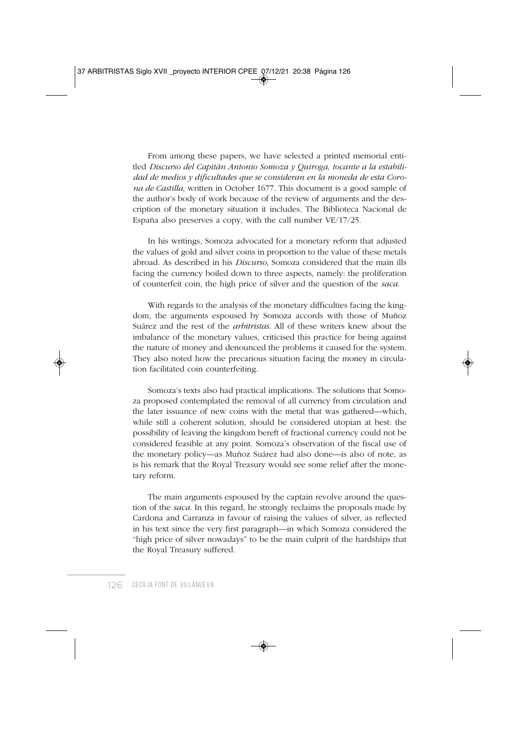From among these papers, we have selected a printed memorial entitled *Discurso del Capitán Antonio Somoza y Quiroga, tocante a la estabilidad de medios y dificultades que se consideran en la moneda de esta Corona de Castilla*, written in October 1677. This document is a good sample of the author's body of work because of the review of arguments and the description of the monetary situation it includes. The Biblioteca Nacional de España also preserves a copy, with the call number VE/17/25.

In his writings, Somoza advocated for a monetary reform that adjusted the values of gold and silver coins in proportion to the value of these metals abroad. As described in his *Discurso*, Somoza considered that the main ills facing the currency boiled down to three aspects, namely: the proliferation of counterfeit coin, the high price of silver and the question of the *saca*.

With regards to the analysis of the monetary difficulties facing the kingdom, the arguments espoused by Somoza accords with those of Muñoz Suárez and the rest of the *arbitristas*. All of these writers knew about the imbalance of the monetary values, criticised this practice for being against the nature of money and denounced the problems it caused for the system. They also noted how the precarious situation facing the money in circulation facilitated coin counterfeiting.

Somoza's texts also had practical implications. The solutions that Somoza proposed contemplated the removal of all currency from circulation and the later issuance of new coins with the metal that was gathered—which, while still a coherent solution, should be considered utopian at best: the possibility of leaving the kingdom bereft of fractional currency could not be considered feasible at any point. Somoza's observation of the fiscal use of the monetary policy—as Muñoz Suárez had also done—is also of note, as is his remark that the Royal Treasury would see some relief after the monetary reform.

The main arguments espoused by the captain revolve around the question of the *saca*. In this regard, he strongly reclaims the proposals made by Cardona and Carranza in favour of raising the values of silver, as reflected in his text since the very first paragraph—in which Somoza considered the "high price of silver nowadays" to be the main culprit of the hardships that the Royal Treasury suffered.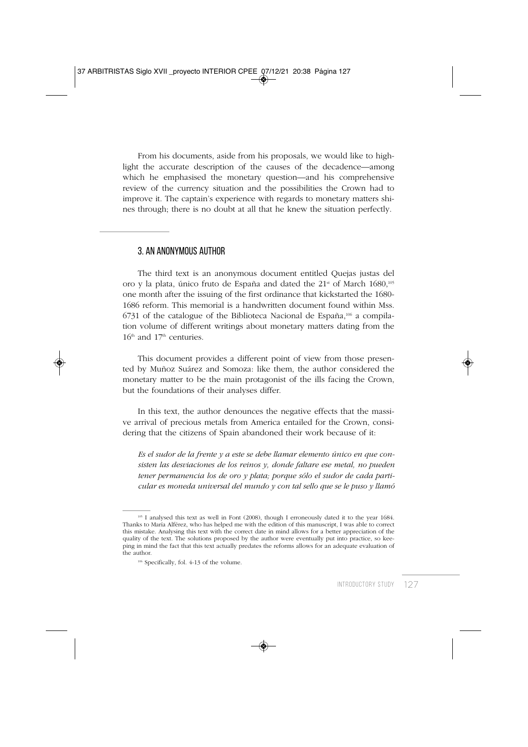From his documents, aside from his proposals, we would like to highlight the accurate description of the causes of the decadence—among which he emphasised the monetary question—and his comprehensive review of the currency situation and the possibilities the Crown had to improve it. The captain's experience with regards to monetary matters shines through; there is no doubt at all that he knew the situation perfectly.

#### 3. AN ANONYMOUS AUTHOR

The third text is an anonymous document entitled Quejas justas del oro y la plata, único fruto de España and dated the  $21<sup>st</sup>$  of March  $1680$ ,<sup>105</sup> one month after the issuing of the first ordinance that kickstarted the 1680- 1686 reform. This memorial is a handwritten document found within Mss.  $6731$  of the catalogue of the Biblioteca Nacional de España,<sup>106</sup> a compilation volume of different writings about monetary matters dating from the 16<sup>th</sup> and 17<sup>th</sup> centuries.

This document provides a different point of view from those presented by Muñoz Suárez and Somoza: like them, the author considered the monetary matter to be the main protagonist of the ills facing the Crown, but the foundations of their analyses differ.

In this text, the author denounces the negative effects that the massive arrival of precious metals from America entailed for the Crown, considering that the citizens of Spain abandoned their work because of it:

*Es el sudor de la frente y a este se debe llamar elemento único en que consisten las desviaciones de los reinos y, donde faltare ese metal, no pueden tener permanencia los de oro y plata; porque sólo el sudor de cada particular es moneda universal del mundo y con tal sello que se le puso y llamó*

<sup>&</sup>lt;sup>105</sup> I analysed this text as well in Font (2008), though I erroneously dated it to the year 1684. Thanks to María Alférez, who has helped me with the edition of this manuscript, I was able to correct this mistake. Analysing this text with the correct date in mind allows for a better appreciation of the quality of the text. The solutions proposed by the author were eventually put into practice, so keeping in mind the fact that this text actually predates the reforms allows for an adequate evaluation of the author.

<sup>106</sup> Specifically, fol. 4-13 of the volume.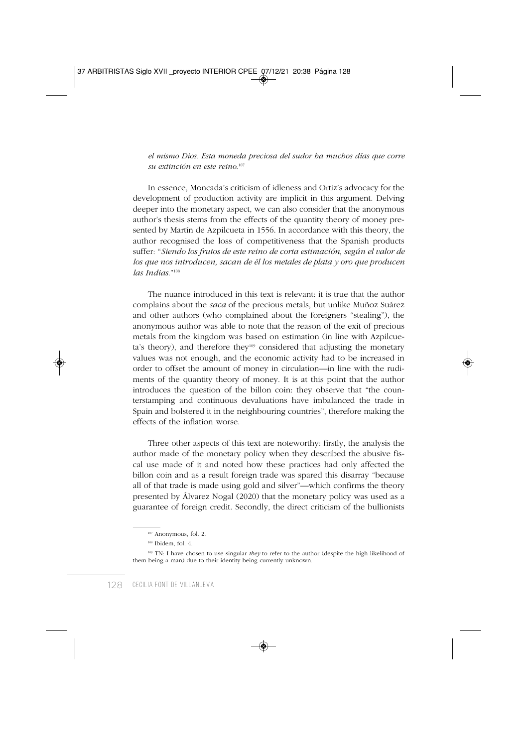*el mismo Dios. Esta moneda preciosa del sudor ha muchos días que corre su extinción en este reino*. 107

In essence, Moncada's criticism of idleness and Ortiz's advocacy for the development of production activity are implicit in this argument. Delving deeper into the monetary aspect, we can also consider that the anonymous author's thesis stems from the effects of the quantity theory of money presented by Martín de Azpilcueta in 1556. In accordance with this theory, the author recognised the loss of competitiveness that the Spanish products suffer: "*Siendo los frutos de este reino de corta estimación, según el valor de los que nos introducen, sacan de él los metales de plata y oro que producen las Indias*."108

The nuance introduced in this text is relevant: it is true that the author complains about the *saca* of the precious metals, but unlike Muñoz Suárez and other authors (who complained about the foreigners "stealing"), the anonymous author was able to note that the reason of the exit of precious metals from the kingdom was based on estimation (in line with Azpilcueta's theory), and therefore they<sup>109</sup> considered that adjusting the monetary values was not enough, and the economic activity had to be increased in order to offset the amount of money in circulation—in line with the rudiments of the quantity theory of money. It is at this point that the author introduces the question of the billon coin: they observe that "the counterstamping and continuous devaluations have imbalanced the trade in Spain and bolstered it in the neighbouring countries", therefore making the effects of the inflation worse.

Three other aspects of this text are noteworthy: firstly, the analysis the author made of the monetary policy when they described the abusive fiscal use made of it and noted how these practices had only affected the billon coin and as a result foreign trade was spared this disarray "because all of that trade is made using gold and silver"—which confirms the theory presented by Álvarez Nogal (2020) that the monetary policy was used as a guarantee of foreign credit. Secondly, the direct criticism of the bullionists

<sup>107</sup> Anonymous, fol. 2.

<sup>&</sup>lt;sup>108</sup> Ibidem, fol. 4.

<sup>&</sup>lt;sup>109</sup> TN: I have chosen to use singular *they* to refer to the author (despite the high likelihood of them being a man) due to their identity being currently unknown.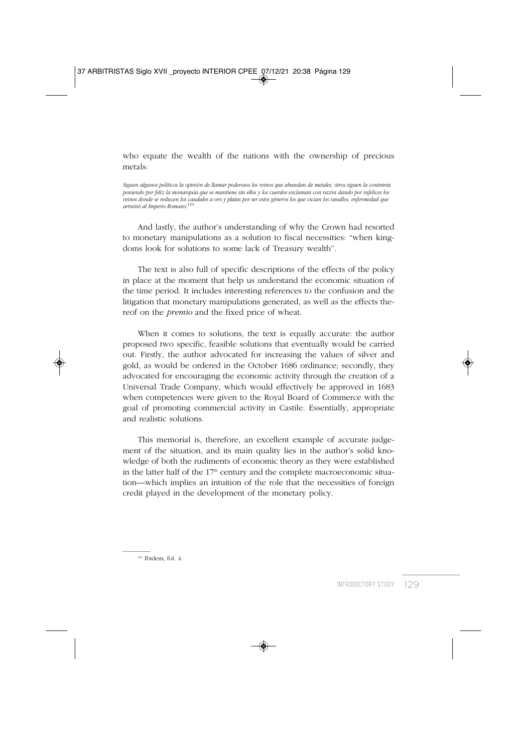who equate the wealth of the nations with the ownership of precious metals:

*Siguen algunos políticos la opinión de llamar poderosos los reinos que abundan de metales; otros siguen la contraria poniendo por feliz la monarquía que se mantiene sin ellos y los cuerdos exclaman con razón dando por infelices los reinos donde se reducen los caudales a oro y platas por ser estos géneros los que vician los vasallos, enfermedad que arruinó al Imperio Romano.*<sup>110</sup>

And lastly, the author's understanding of why the Crown had resorted to monetary manipulations as a solution to fiscal necessities: "when kingdoms look for solutions to some lack of Treasury wealth".

The text is also full of specific descriptions of the effects of the policy in place at the moment that help us understand the economic situation of the time period. It includes interesting references to the confusion and the litigation that monetary manipulations generated, as well as the effects thereof on the *premio* and the fixed price of wheat.

When it comes to solutions, the text is equally accurate: the author proposed two specific, feasible solutions that eventually would be carried out. Firstly, the author advocated for increasing the values of silver and gold, as would be ordered in the October 1686 ordinance; secondly, they advocated for encouraging the economic activity through the creation of a Universal Trade Company, which would effectively be approved in 1683 when competences were given to the Royal Board of Commerce with the goal of promoting commercial activity in Castile. Essentially, appropriate and realistic solutions.

This memorial is, therefore, an excellent example of accurate judgement of the situation, and its main quality lies in the author's solid knowledge of both the rudiments of economic theory as they were established in the latter half of the  $17<sup>th</sup>$  century and the complete macroeconomic situation—which implies an intuition of the role that the necessities of foreign credit played in the development of the monetary policy.

 $110$  Ibidem, fol. 4.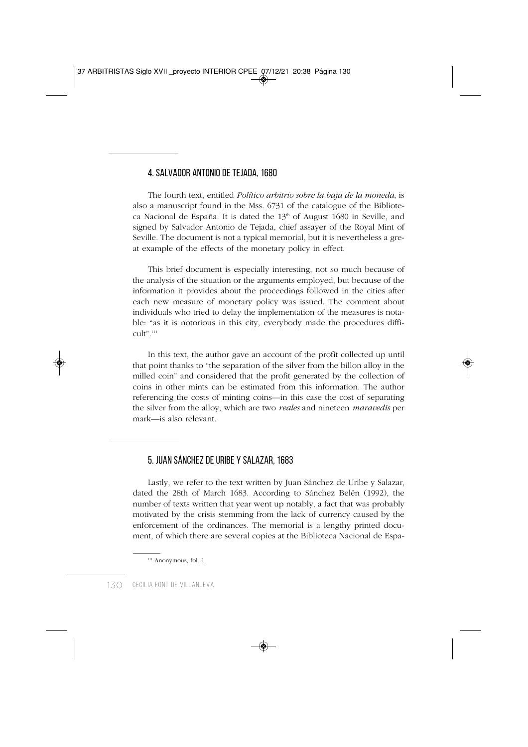### 4. SALVADOR ANTONIO DE TEJADA, 1680

The fourth text, entitled *Político arbitrio sobre la baja de la moneda*, is also a manuscript found in the Mss. 6731 of the catalogue of the Biblioteca Nacional de España. It is dated the  $13<sup>th</sup>$  of August 1680 in Seville, and signed by Salvador Antonio de Tejada, chief assayer of the Royal Mint of Seville. The document is not a typical memorial, but it is nevertheless a great example of the effects of the monetary policy in effect.

This brief document is especially interesting, not so much because of the analysis of the situation or the arguments employed, but because of the information it provides about the proceedings followed in the cities after each new measure of monetary policy was issued. The comment about individuals who tried to delay the implementation of the measures is notable: "as it is notorious in this city, everybody made the procedures difficult".111

In this text, the author gave an account of the profit collected up until that point thanks to "the separation of the silver from the billon alloy in the milled coin" and considered that the profit generated by the collection of coins in other mints can be estimated from this information. The author referencing the costs of minting coins—in this case the cost of separating the silver from the alloy, which are two *reales* and nineteen *maravedís* per mark—is also relevant.

### 5. JUAN SÁNCHEZ DE URIBE Y SALAZAR, 1683

Lastly, we refer to the text written by Juan Sánchez de Uribe y Salazar, dated the 28th of March 1683. According to Sánchez Belén (1992), the number of texts written that year went up notably, a fact that was probably motivated by the crisis stemming from the lack of currency caused by the enforcement of the ordinances. The memorial is a lengthy printed document, of which there are several copies at the Biblioteca Nacional de Espa-

<sup>&</sup>lt;sup>111</sup> Anonymous, fol. 1.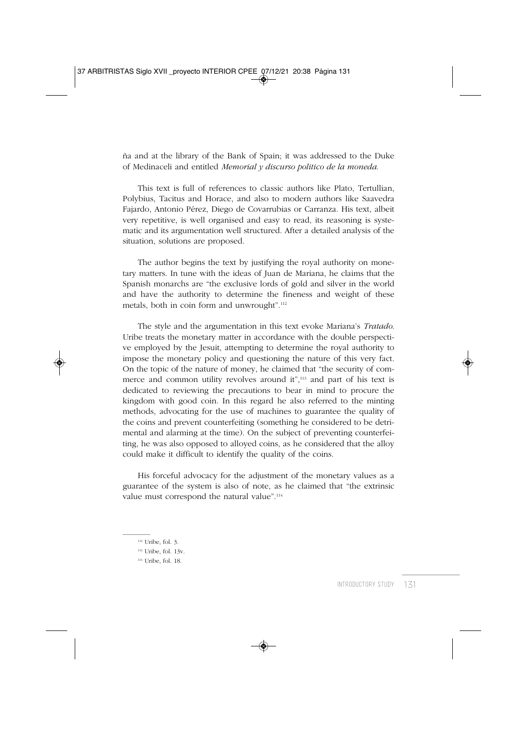ña and at the library of the Bank of Spain; it was addressed to the Duke of Medinaceli and entitled *Memorial y discurso politico de la moneda*.

This text is full of references to classic authors like Plato, Tertullian, Polybius, Tacitus and Horace, and also to modern authors like Saavedra Fajardo, Antonio Pérez, Diego de Covarrubias or Carranza. His text, albeit very repetitive, is well organised and easy to read, its reasoning is systematic and its argumentation well structured. After a detailed analysis of the situation, solutions are proposed.

The author begins the text by justifying the royal authority on monetary matters. In tune with the ideas of Juan de Mariana, he claims that the Spanish monarchs are "the exclusive lords of gold and silver in the world and have the authority to determine the fineness and weight of these metals, both in coin form and unwrought".112

The style and the argumentation in this text evoke Mariana's *Tratado*. Uribe treats the monetary matter in accordance with the double perspective employed by the Jesuit, attempting to determine the royal authority to impose the monetary policy and questioning the nature of this very fact. On the topic of the nature of money, he claimed that "the security of commerce and common utility revolves around it",113 and part of his text is dedicated to reviewing the precautions to bear in mind to procure the kingdom with good coin. In this regard he also referred to the minting methods, advocating for the use of machines to guarantee the quality of the coins and prevent counterfeiting (something he considered to be detrimental and alarming at the time). On the subject of preventing counterfeiting, he was also opposed to alloyed coins, as he considered that the alloy could make it difficult to identify the quality of the coins.

His forceful advocacy for the adjustment of the monetary values as a guarantee of the system is also of note, as he claimed that "the extrinsic value must correspond the natural value".<sup>114</sup>

 $112$  Uribe, fol. 3.

<sup>113</sup> Uribe, fol. 13v.

<sup>114</sup> Uribe, fol. 18.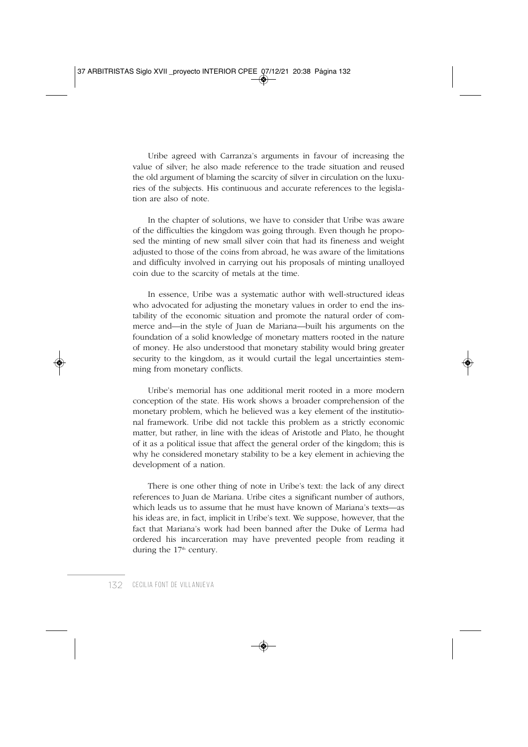Uribe agreed with Carranza's arguments in favour of increasing the value of silver; he also made reference to the trade situation and reused the old argument of blaming the scarcity of silver in circulation on the luxuries of the subjects. His continuous and accurate references to the legislation are also of note.

In the chapter of solutions, we have to consider that Uribe was aware of the difficulties the kingdom was going through. Even though he proposed the minting of new small silver coin that had its fineness and weight adjusted to those of the coins from abroad, he was aware of the limitations and difficulty involved in carrying out his proposals of minting unalloyed coin due to the scarcity of metals at the time.

In essence, Uribe was a systematic author with well-structured ideas who advocated for adjusting the monetary values in order to end the instability of the economic situation and promote the natural order of commerce and—in the style of Juan de Mariana—built his arguments on the foundation of a solid knowledge of monetary matters rooted in the nature of money. He also understood that monetary stability would bring greater security to the kingdom, as it would curtail the legal uncertainties stemming from monetary conflicts.

Uribe's memorial has one additional merit rooted in a more modern conception of the state. His work shows a broader comprehension of the monetary problem, which he believed was a key element of the institutional framework. Uribe did not tackle this problem as a strictly economic matter, but rather, in line with the ideas of Aristotle and Plato, he thought of it as a political issue that affect the general order of the kingdom; this is why he considered monetary stability to be a key element in achieving the development of a nation.

There is one other thing of note in Uribe's text: the lack of any direct references to Juan de Mariana. Uribe cites a significant number of authors, which leads us to assume that he must have known of Mariana's texts—as his ideas are, in fact, implicit in Uribe's text. We suppose, however, that the fact that Mariana's work had been banned after the Duke of Lerma had ordered his incarceration may have prevented people from reading it during the 17<sup>th</sup> century.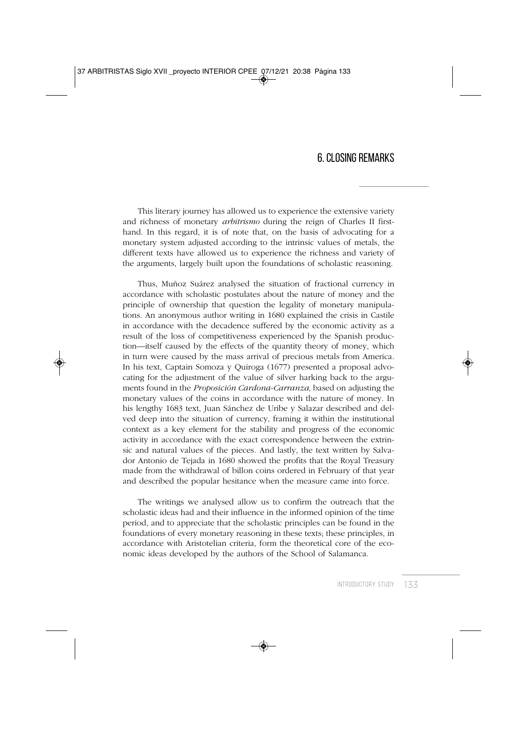### 6. CLOSING REMARKS

This literary journey has allowed us to experience the extensive variety and richness of monetary *arbitrismo* during the reign of Charles II firsthand. In this regard, it is of note that, on the basis of advocating for a monetary system adjusted according to the intrinsic values of metals, the different texts have allowed us to experience the richness and variety of the arguments, largely built upon the foundations of scholastic reasoning.

Thus, Muñoz Suárez analysed the situation of fractional currency in accordance with scholastic postulates about the nature of money and the principle of ownership that question the legality of monetary manipulations. An anonymous author writing in 1680 explained the crisis in Castile in accordance with the decadence suffered by the economic activity as a result of the loss of competitiveness experienced by the Spanish production—itself caused by the effects of the quantity theory of money, which in turn were caused by the mass arrival of precious metals from America. In his text, Captain Somoza y Quiroga (1677) presented a proposal advocating for the adjustment of the value of silver harking back to the arguments found in the *Proposición Cardona-Carranza*, based on adjusting the monetary values of the coins in accordance with the nature of money. In his lengthy 1683 text, Juan Sánchez de Uribe y Salazar described and delved deep into the situation of currency, framing it within the institutional context as a key element for the stability and progress of the economic activity in accordance with the exact correspondence between the extrinsic and natural values of the pieces. And lastly, the text written by Salvador Antonio de Tejada in 1680 showed the profits that the Royal Treasury made from the withdrawal of billon coins ordered in February of that year and described the popular hesitance when the measure came into force.

The writings we analysed allow us to confirm the outreach that the scholastic ideas had and their influence in the informed opinion of the time period, and to appreciate that the scholastic principles can be found in the foundations of every monetary reasoning in these texts; these principles, in accordance with Aristotelian criteria, form the theoretical core of the economic ideas developed by the authors of the School of Salamanca.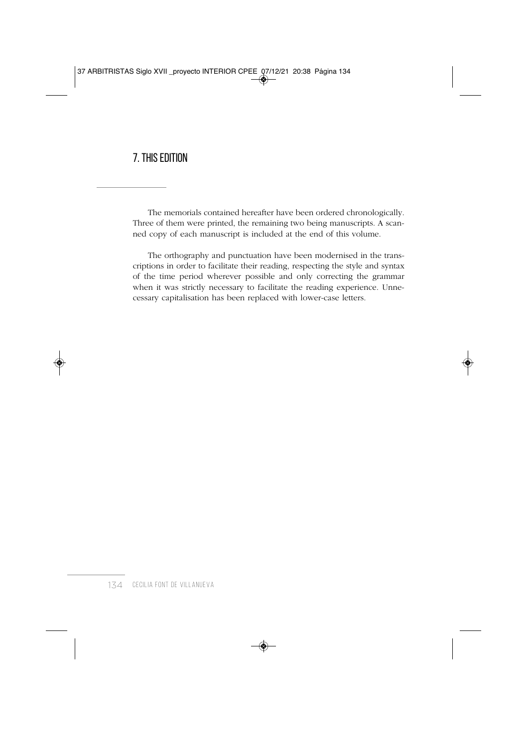# 7. THIS EDITION

The memorials contained hereafter have been ordered chronologically. Three of them were printed, the remaining two being manuscripts. A scanned copy of each manuscript is included at the end of this volume.

The orthography and punctuation have been modernised in the transcriptions in order to facilitate their reading, respecting the style and syntax of the time period wherever possible and only correcting the grammar when it was strictly necessary to facilitate the reading experience. Unnecessary capitalisation has been replaced with lower-case letters.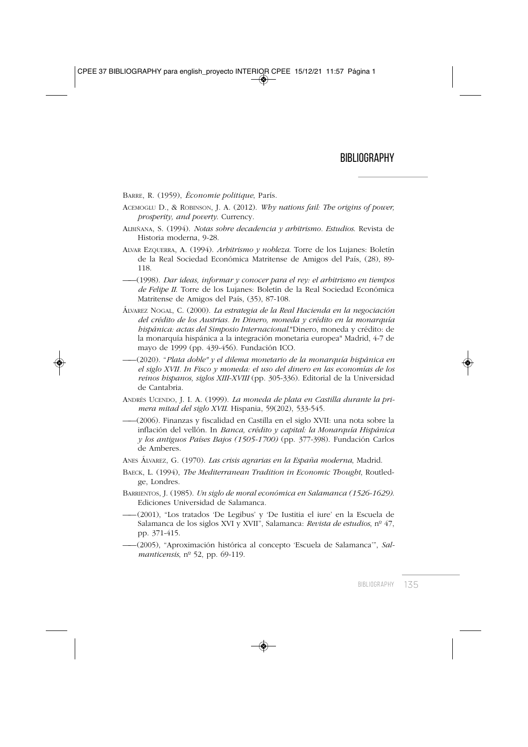BARRE, R. (1959), *Économie politique*, París.

- ACEMOGLU D., & ROBINSON, J. A. (2012). *Why nations fail: The origins of power, prosperity, and poverty*. Currency.
- ALBIÑANA, S. (1994). *Notas sobre decadencia y arbitrismo. Estudios*. Revista de Historia moderna, 9-28.
- ALVAR EZQUERRA, A. (1994). *Arbitrismo y nobleza*. Torre de los Lujanes: Boletín de la Real Sociedad Económica Matritense de Amigos del País, (28), 89- 118.
- ——(1998). *Dar ideas, informar y conocer para el rey: el arbitrismo en tiempos de Felipe II*. Torre de los Lujanes: Boletín de la Real Sociedad Económica Matritense de Amigos del País, (35), 87-108.
- ÁLVAREZ NOGAL, C. (2000). *La estrategia de la Real Hacienda en la negociación del crédito de los Austrias. In Dinero, moneda y crédito en la monarquía hispánica: actas del Simposio Internacional*."Dinero, moneda y crédito: de la monarquía hispánica a la integración monetaria europea" Madrid, 4-7 de mayo de 1999 (pp. 439-456). Fundación ICO.
- ——(2020). "*Plata doble" y el dilema monetario de la monarquía hispánica en el siglo XVII. In Fisco y moneda: el uso del dinero en las economías de los reinos hispanos, siglos XIII-XVIII* (pp. 305-336). Editorial de la Universidad de Cantabria.
- ANDRÉS UCENDO, J. I. A. (1999). *La moneda de plata en Castilla durante la primera mitad del siglo XVII*. Hispania, 59(202), 533-545.
- ——(2006). Finanzas y fiscalidad en Castilla en el siglo XVII: una nota sobre la inflación del vellón. In *Banca, crédito y capital: la Monarquía Hispánica y los antiguos Países Bajos (1505-1700)* (pp. 377-398). Fundación Carlos de Amberes.
- ANES ÁLVAREZ, G. (1970). *Las crisis agrarias en la España moderna*, Madrid.
- BAECK, L. (1994), *The Mediterranean Tradition in Economic Thought*, Routledge, Londres.
- BARRIENTOS, J. (1985). *Un siglo de moral económica en Salamanca (1526-1629)*. Ediciones Universidad de Salamanca.
- ——(2001), "Los tratados 'De Legibus' y 'De Iustitia el iure' en la Escuela de Salamanca de los siglos XVI y XVII", Salamanca: *Revista de estudios*, nº 47, pp. 371-415.
- ——(2005), "Aproximación histórica al concepto 'Escuela de Salamanca'", *Salmanticensis*, nº 52, pp. 69-119.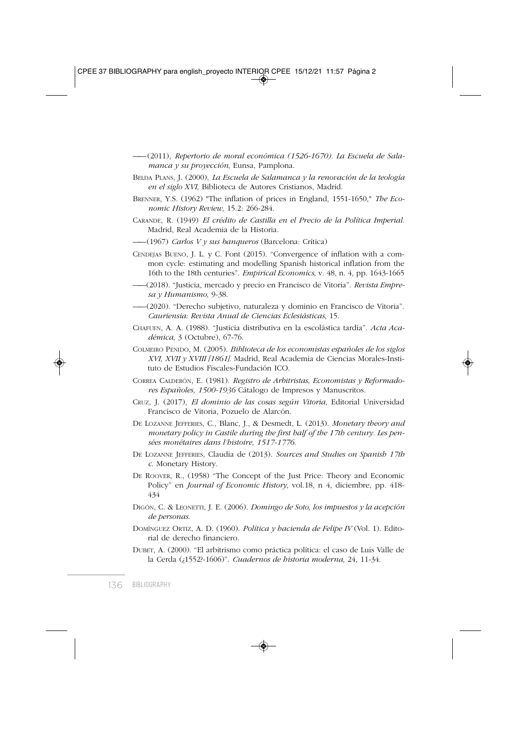——(2011), *Repertorio de moral económica (1526-1670). La Escuela de Salamanca y su proyección*, Eunsa, Pamplona.

- BELDA PLANS, J. (2000), *La Escuela de Salamanca y la renovación de la teología en el siglo XVI*, Biblioteca de Autores Cristianos, Madrid.
- BRENNER, Y.S. (1962) "The inflation of prices in England, 1551-1650," *The Economic History Review,* 15.2: 266-284.
- CARANDE, R. (1949) *El crédito de Castilla en el Precio de la Política Imperial.* Madrid, Real Academia de la Historia.

——(1967) *Carlos V y sus banqueros* (Barcelona: Crítica)

- CENDEJAS BUENO, J. L. y C. Font (2015). "Convergence of inflation with a common cycle: estimating and modelling Spanish historical inflation from the 16th to the 18th centuries". *Empirical Economics*, v. 48, n. 4, pp. 1643-1665
- ——(2018). "Justicia, mercado y precio en Francisco de Vitoria". *Revista Empresa y Humanismo,* 9-38.
- ——(2020). "Derecho subjetivo, naturaleza y dominio en Francisco de Vitoria". *Cauriensia: Revista Anual de Ciencias Eclesiásticas*, 15.
- CHAFUEN, A. A. (1988). "Justicia distributiva en la escolástica tardía". *Acta Académica*, 3 (Octubre), 67-76.
- COLMEIRO PENIDO, M. (2005). *Biblioteca de los economistas españoles de los siglos XVI, XVII y XVIII [1861]*. Madrid, Real Academia de Ciencias Morales-Instituto de Estudios Fiscales-Fundación ICO.
- CORREA CALDERÓN, E. (1981). *Registro de Arbitristas, Economistas y Reformadores Españoles, 1500-1936* Cátalogo de Impresos y Manuscritos.
- CRUZ, J. (2017), *El dominio de las cosas según Vitoria*, Editorial Universidad Francisco de Vitoria, Pozuelo de Alarcón.
- DE LOZANNE JEFFERIES, C., Blanc, J., & Desmedt, L. (2013). *Monetary theory and monetary policy in Castile during the first half of the 17th century. Les pensées monétaires dans l'histoire, 1517-1776*.
- DE LOZANNE JEFFERIES, Claudia de (2013). *Sources and Studies on Spanish 17th c*. Monetary History.
- DE ROOVER, R., (1958) "The Concept of the Just Price: Theory and Economic Policy" en *Journal of Economic History*, vol.18, n 4, diciembre, pp. 418- 434
- DIGÓN, C. & LEONETTI, J. E. (2006). *Domingo de Soto, los impuestos y la acepción de personas*.
- DOMÍNGUEZ ORTIZ, A. D. (1960). *Política y hacienda de Felipe IV* (Vol. 1). Editorial de derecho financiero.
- DUBET, A. (2000). "El arbitrismo como práctica política: el caso de Luis Valle de la Cerda (¿1552?-1606)". *Cuadernos de historia moderna*, 24, 11-34.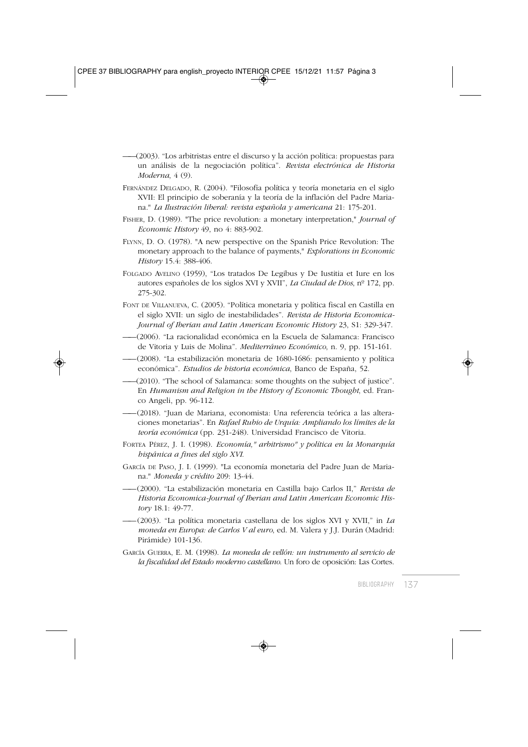- ——(2003). "Los arbitristas entre el discurso y la acción política: propuestas para un análisis de la negociación política". *Revista electrónica de Historia Moderna*, 4 (9).
- FERNÁNDEZ DELGADO, R. (2004). "Filosofía política y teoría monetaria en el siglo XVII: El principio de soberanía y la teoría de la inflación del Padre Mariana." *La Ilustración liberal: revista española y americana* 21: 175-201.
- FISHER, D. (1989). "The price revolution: a monetary interpretation," *Journal of Economic History* 49, no 4: 883-902.
- FLYNN, D. O. (1978). "A new perspective on the Spanish Price Revolution: The monetary approach to the balance of payments," *Explorations in Economic History* 15.4: 388-406.
- FOLGADO AVELINO (1959), "Los tratados De Legibus y De Iustitia et Iure en los autores españoles de los siglos XVI y XVII", *La Ciudad de Dios*, nº 172, pp. 275-302.
- FONT DE VILLANUEVA, C. (2005). "Política monetaria y política fiscal en Castilla en el siglo XVII: un siglo de inestabilidades". *Revista de Historia Economica-Journal of Iberian and Latin American Economic History* 23, S1: 329-347.
- ——(2006). "La racionalidad económica en la Escuela de Salamanca: Francisco de Vitoria y Luis de Molina". *Mediterráneo Económico*, n. 9, pp. 151-161.
- ——(2008). "La estabilización monetaria de 1680-1686: pensamiento y política económica". *Estudios de historia económica*, Banco de España, 52.
- ——(2010). "The school of Salamanca: some thoughts on the subject of justice". En *Humanism and Religion in the History of Economic Thought*, ed. Franco Angeli, pp. 96-112.
- ——(2018). "Juan de Mariana, economista: Una referencia teórica a las alteraciones monetarias". En *Rafael Rubio de Urquía: Ampliando los límites de la teoría económica* (pp. 231-248). Universidad Francisco de Vitoria.
- FORTEA PÉREZ, J. I. (1998). *Economía," arbitrismo" y política en la Monarquía hispánica a fines del siglo XVI*.
- GARCÍA DE PASO, J. I. (1999). "La economía monetaria del Padre Juan de Mariana." *Moneda y crédito* 209: 13-44.
- ——(2000). "La estabilización monetaria en Castilla bajo Carlos II," *Revista de Historia Economica-Journal of Iberian and Latin American Economic History* 18.1: 49-77.
- ——(2003). "La política monetaria castellana de los siglos XVI y XVII," in *La moneda en Europa: de Carlos V al euro*, ed. M. Valera y J.J. Durán (Madrid: Pirámide) 101-136.
- GARCÍA GUERRA, E. M. (1998). *La moneda de vellón: un instrumento al servicio de la fiscalidad del Estado moderno castellano*. Un foro de oposición: Las Cortes.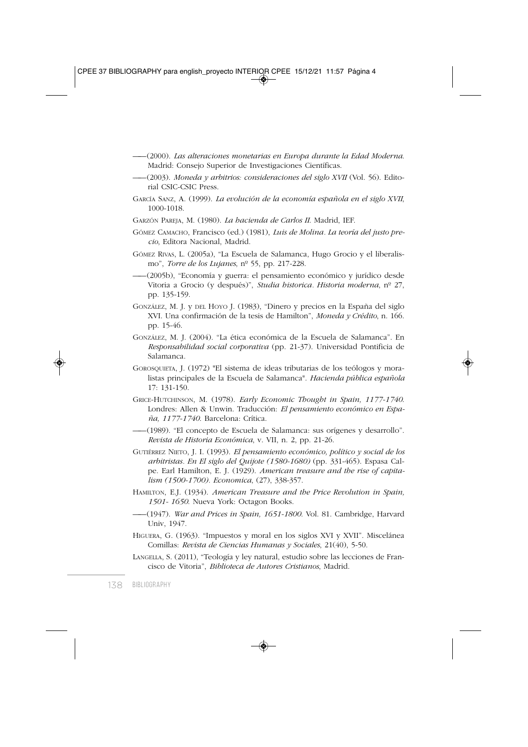- ——(2000). *Las alteraciones monetarias en Europa durante la Edad Moderna*. Madrid: Consejo Superior de Investigaciones Científicas.
- ——(2003). *Moneda y arbitrios: consideraciones del siglo XVII* (Vol. 56). Editorial CSIC-CSIC Press.
- GARCÍA SANZ, A. (1999). *La evolución de la economía española en el siglo XVII*, 1000-1018.
- GARZÓN PAREJA, M. (1980). *La hacienda de Carlos II*. Madrid, IEF.
- GÓMEZ CAMACHO, Francisco (ed.) (1981), *Luis de Molina. La teoría del justo precio*, Editora Nacional, Madrid.
- GÓMEZ RIVAS, L. (2005a), "La Escuela de Salamanca, Hugo Grocio y el liberalismo", *Torre de los Lujanes*, nº 55, pp. 217-228.
- ——(2005b), "Economía y guerra: el pensamiento económico y jurídico desde Vitoria a Grocio (y después)", *Studia historica. Historia moderna*, nº 27, pp. 135-159.
- GONZÁLEZ, M. J. y DEL HOYO J. (1983), "Dinero y precios en la España del siglo XVI. Una confirmación de la tesis de Hamilton", *Moneda y Crédito*, n. 166. pp. 15-46.
- GONZÁLEZ, M. J. (2004). "La ética económica de la Escuela de Salamanca". En *Responsabilidad social corporativa* (pp. 21-37). Universidad Pontificia de Salamanca.
- GOROSQUIETA, J. (1972) "El sistema de ideas tributarias de los teólogos y moralistas principales de la Escuela de Salamanca". *Hacienda pública española* 17: 131-150.
- GRICE-HUTCHINSON, M. (1978). *Early Economic Thought in Spain, 1177-1740*. Londres: Allen & Unwin. Traducción: *El pensamiento económico en España, 1177-1740*. Barcelona: Crítica.
- ——(1989). "El concepto de Escuela de Salamanca: sus orígenes y desarrollo". *Revista de Historia Económica*, v. VII, n. 2, pp. 21-26.
- GUTIÉRREZ NIETO, J. I. (1993). *El pensamiento económico, político y social de los arbitristas. En El siglo del Quijote (1580-1680)* (pp. 331-465). Espasa Calpe. Earl Hamilton, E. J. (1929). *American treasure and the rise of capitalism (1500-1700). Economica*, (27), 338-357.
- HAMILTON, E.J. (1934). *American Treasure and the Price Revolution in Spain, 1501- 1650*. Nueva York: Octagon Books.
- ——(1947). *War and Prices in Spain, 1651-1800*. Vol. 81. Cambridge, Harvard Univ, 1947.
- HIGUERA, G. (1963). "Impuestos y moral en los siglos XVI y XVII". Miscelánea Comillas: *Revista de Ciencias Humanas y Sociales*, 21(40), 5-50.
- LANGELLA, S. (2011), "Teología y ley natural, estudio sobre las lecciones de Francisco de Vitoria", *Biblioteca de Autores Cristianos*, Madrid.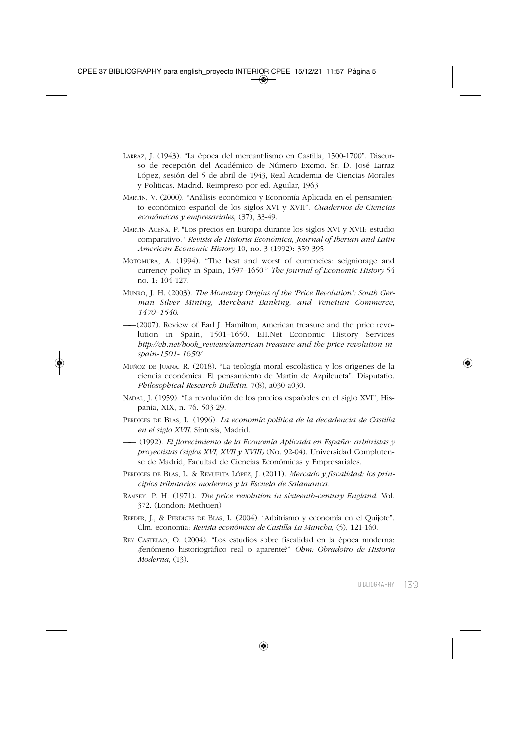- LARRAZ, J. (1943). "La época del mercantilismo en Castilla, 1500-1700". Discurso de recepción del Académico de Número Excmo. Sr. D. José Larraz López, sesión del 5 de abril de 1943, Real Academia de Ciencias Morales y Políticas. Madrid. Reimpreso por ed. Aguilar, 1963
- MARTÍN, V. (2000). "Análisis económico y Economía Aplicada en el pensamiento económico español de los siglos XVI y XVII". *Cuadernos de Ciencias económicas y empresariales*, (37), 33-49.
- MARTÍN ACEÑA, P. "Los precios en Europa durante los siglos XVI y XVII: estudio comparativo." *Revista de Historia Económica, Journal of Iberian and Latin American Economic History* 10, no. 3 (1992): 359-395
- MOTOMURA, A. (1994). "The best and worst of currencies: seigniorage and currency policy in Spain, 1597–1650," *The Journal of Economic History* 54 no. 1: 104-127.
- MUNRO, J. H. (2003). *The Monetary Origins of the 'Price Revolution': South German Silver Mining, Merchant Banking, and Venetian Commerce, 1470–1540*.
- ——(2007). Review of Earl J. Hamilton, American treasure and the price revolution in Spain, 1501–1650. EH.Net Economic History Services *http://eh.net/book\_reviews/american-treasure-and-the-price-revolution-inspain-1501- 1650/*
- MUÑOZ DE JUANA, R. (2018). "La teología moral escolástica y los orígenes de la ciencia económica. El pensamiento de Martín de Azpilcueta". Disputatio. *Philosophical Research Bulletin*, 7(8), a030-a030.
- NADAL, J. (1959). "La revolución de los precios españoles en el siglo XVI", Hispania, XIX, n. 76. 503-29.
- PERDICES DE BLAS, L. (1996). *La economía política de la decadencia de Castilla en el siglo XVII*. Síntesis, Madrid.
- —— (1992). *El florecimiento de la Economía Aplicada en España: arbitristas y proyectistas (siglos XVI, XVII y XVIII)* (No. 92-04). Universidad Complutense de Madrid, Facultad de Ciencias Económicas y Empresariales.
- PERDICES DE BLAS, L. & REVUELTA LÓPEZ, J. (2011). *Mercado y fiscalidad: los principios tributarios modernos y la Escuela de Salamanca*.
- RAMSEY, P. H. (1971). *The price revolution in sixteenth-century England*. Vol. 372. (London: Methuen)
- REEDER, J., & PERDICES DE BLAS, L. (2004). "Arbitrismo y economía en el Quijote". Clm. economía: *Revista económica de Castilla-La Mancha*, (5), 121-160.
- REY CASTELAO, O. (2004). "Los estudios sobre fiscalidad en la época moderna: ¿fenómeno historiográfico real o aparente?" *Ohm: Obradoiro de Historia Moderna*, (13).